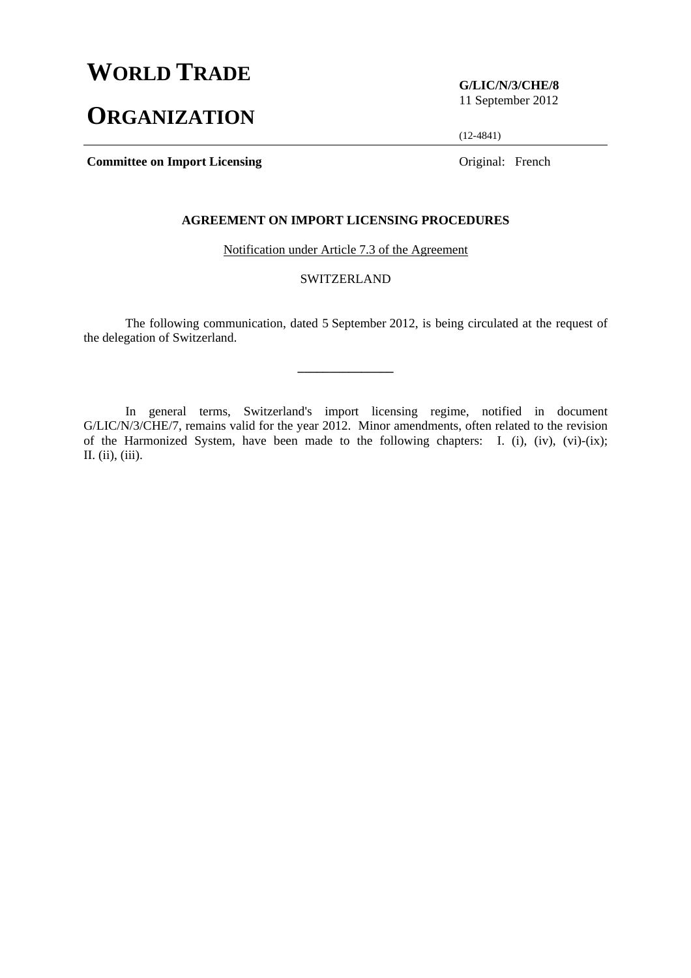# **WORLD TRADE**

# **ORGANIZATION**

**G/LIC/N/3/CHE/8**  11 September 2012

(12-4841)

**Committee on Import Licensing Committee on Import Licensing Committee on Import Licensing Committee on Import Licensing Committee on Import Licensing Committee on Import Licensing Committee on Import Licensing Committee o** 

## **AGREEMENT ON IMPORT LICENSING PROCEDURES**

Notification under Article 7.3 of the Agreement

# SWITZERLAND

 The following communication, dated 5 September 2012, is being circulated at the request of the delegation of Switzerland.

**\_\_\_\_\_\_\_\_\_\_\_\_\_\_\_** 

 In general terms, Switzerland's import licensing regime, notified in document G/LIC/N/3/CHE/7, remains valid for the year 2012. Minor amendments, often related to the revision of the Harmonized System, have been made to the following chapters: I. (i), (iv), (vi)-(ix); II. (ii), (iii).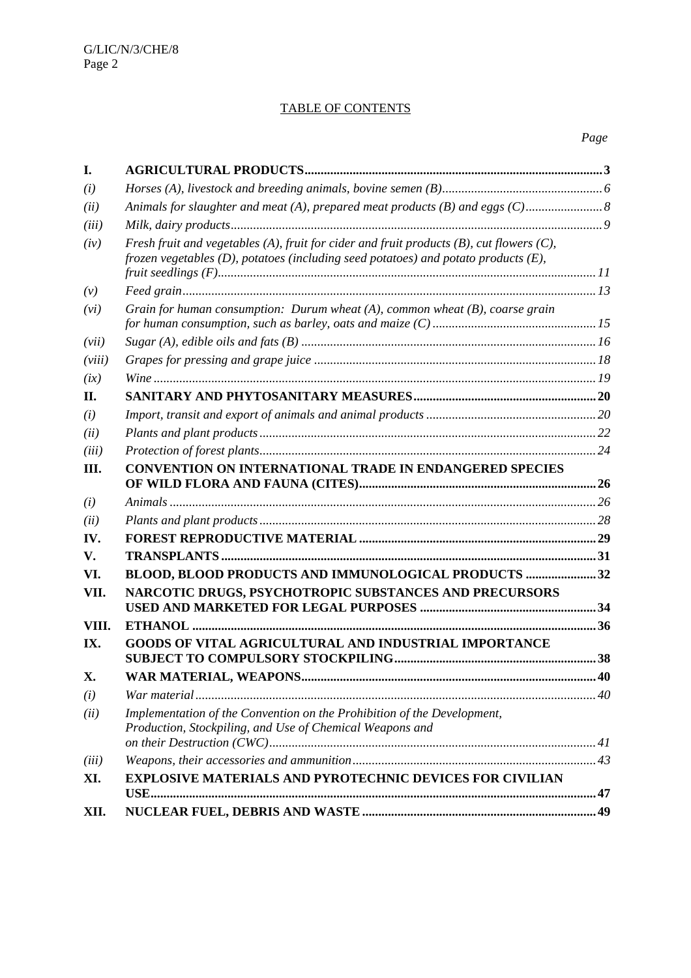# TABLE OF CONTENTS

| I.     |                                                                                                                                                                                            |  |  |  |
|--------|--------------------------------------------------------------------------------------------------------------------------------------------------------------------------------------------|--|--|--|
| (i)    |                                                                                                                                                                                            |  |  |  |
| (ii)   |                                                                                                                                                                                            |  |  |  |
| (iii)  |                                                                                                                                                                                            |  |  |  |
| (iv)   | Fresh fruit and vegetables (A), fruit for cider and fruit products $(B)$ , cut flowers $(C)$ ,<br>frozen vegetables $(D)$ , potatoes (including seed potatoes) and potato products $(E)$ , |  |  |  |
| (v)    |                                                                                                                                                                                            |  |  |  |
| (vi)   | Grain for human consumption: Durum wheat $(A)$ , common wheat $(B)$ , coarse grain                                                                                                         |  |  |  |
| (vii)  |                                                                                                                                                                                            |  |  |  |
| (viii) |                                                                                                                                                                                            |  |  |  |
| (ix)   |                                                                                                                                                                                            |  |  |  |
| II.    |                                                                                                                                                                                            |  |  |  |
| (i)    |                                                                                                                                                                                            |  |  |  |
| (ii)   |                                                                                                                                                                                            |  |  |  |
| (iii)  |                                                                                                                                                                                            |  |  |  |
| Ш.     | <b>CONVENTION ON INTERNATIONAL TRADE IN ENDANGERED SPECIES</b>                                                                                                                             |  |  |  |
| (i)    |                                                                                                                                                                                            |  |  |  |
| (ii)   |                                                                                                                                                                                            |  |  |  |
| IV.    |                                                                                                                                                                                            |  |  |  |
| V.     |                                                                                                                                                                                            |  |  |  |
| VI.    | BLOOD, BLOOD PRODUCTS AND IMMUNOLOGICAL PRODUCTS 32                                                                                                                                        |  |  |  |
| VII.   | NARCOTIC DRUGS, PSYCHOTROPIC SUBSTANCES AND PRECURSORS                                                                                                                                     |  |  |  |
| VIII.  |                                                                                                                                                                                            |  |  |  |
| IX.    | GOODS OF VITAL AGRICULTURAL AND INDUSTRIAL IMPORTANCE                                                                                                                                      |  |  |  |
| X.     | WAR MATERIAL, WEAPONS.                                                                                                                                                                     |  |  |  |
| (i)    |                                                                                                                                                                                            |  |  |  |
| (ii)   | Implementation of the Convention on the Prohibition of the Development,<br>Production, Stockpiling, and Use of Chemical Weapons and                                                        |  |  |  |
| (iii)  |                                                                                                                                                                                            |  |  |  |
| XI.    | <b>EXPLOSIVE MATERIALS AND PYROTECHNIC DEVICES FOR CIVILIAN</b>                                                                                                                            |  |  |  |
|        |                                                                                                                                                                                            |  |  |  |
| XII.   |                                                                                                                                                                                            |  |  |  |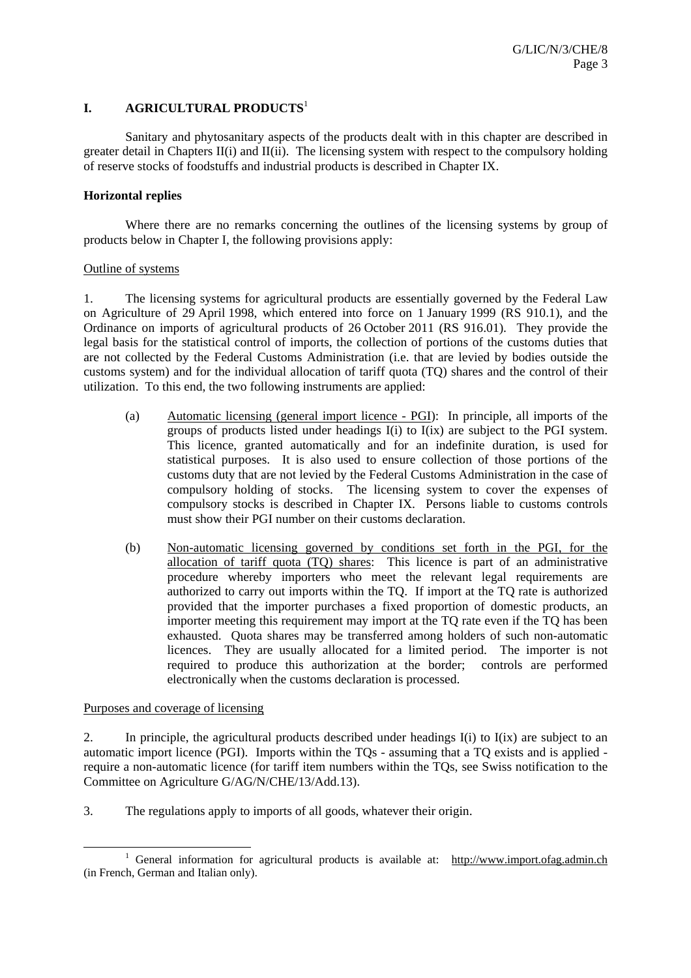## **I. AGRICULTURAL PRODUCTS**<sup>1</sup>

 Sanitary and phytosanitary aspects of the products dealt with in this chapter are described in greater detail in Chapters II(i) and II(ii). The licensing system with respect to the compulsory holding of reserve stocks of foodstuffs and industrial products is described in Chapter IX.

## **Horizontal replies**

Where there are no remarks concerning the outlines of the licensing systems by group of products below in Chapter I, the following provisions apply:

#### Outline of systems

1. The licensing systems for agricultural products are essentially governed by the Federal Law on Agriculture of 29 April 1998, which entered into force on 1 January 1999 (RS 910.1), and the Ordinance on imports of agricultural products of 26 October 2011 (RS 916.01). They provide the legal basis for the statistical control of imports, the collection of portions of the customs duties that are not collected by the Federal Customs Administration (i.e. that are levied by bodies outside the customs system) and for the individual allocation of tariff quota (TQ) shares and the control of their utilization. To this end, the two following instruments are applied:

- (a) Automatic licensing (general import licence PGI): In principle, all imports of the groups of products listed under headings I(i) to I(ix) are subject to the PGI system. This licence, granted automatically and for an indefinite duration, is used for statistical purposes. It is also used to ensure collection of those portions of the customs duty that are not levied by the Federal Customs Administration in the case of compulsory holding of stocks. The licensing system to cover the expenses of compulsory stocks is described in Chapter IX. Persons liable to customs controls must show their PGI number on their customs declaration.
- (b) Non-automatic licensing governed by conditions set forth in the PGI, for the allocation of tariff quota (TQ) shares: This licence is part of an administrative procedure whereby importers who meet the relevant legal requirements are authorized to carry out imports within the TQ. If import at the TQ rate is authorized provided that the importer purchases a fixed proportion of domestic products, an importer meeting this requirement may import at the TQ rate even if the TQ has been exhausted. Quota shares may be transferred among holders of such non-automatic licences. They are usually allocated for a limited period. The importer is not required to produce this authorization at the border; controls are performed electronically when the customs declaration is processed.

Purposes and coverage of licensing

2. In principle, the agricultural products described under headings I(i) to I(ix) are subject to an automatic import licence (PGI). Imports within the TQs - assuming that a TQ exists and is applied require a non-automatic licence (for tariff item numbers within the TQs, see Swiss notification to the Committee on Agriculture G/AG/N/CHE/13/Add.13).

3. The regulations apply to imports of all goods, whatever their origin.

<sup>&</sup>lt;u>1</u> <sup>1</sup> General information for agricultural products is available at: http://www.import.ofag.admin.ch (in French, German and Italian only).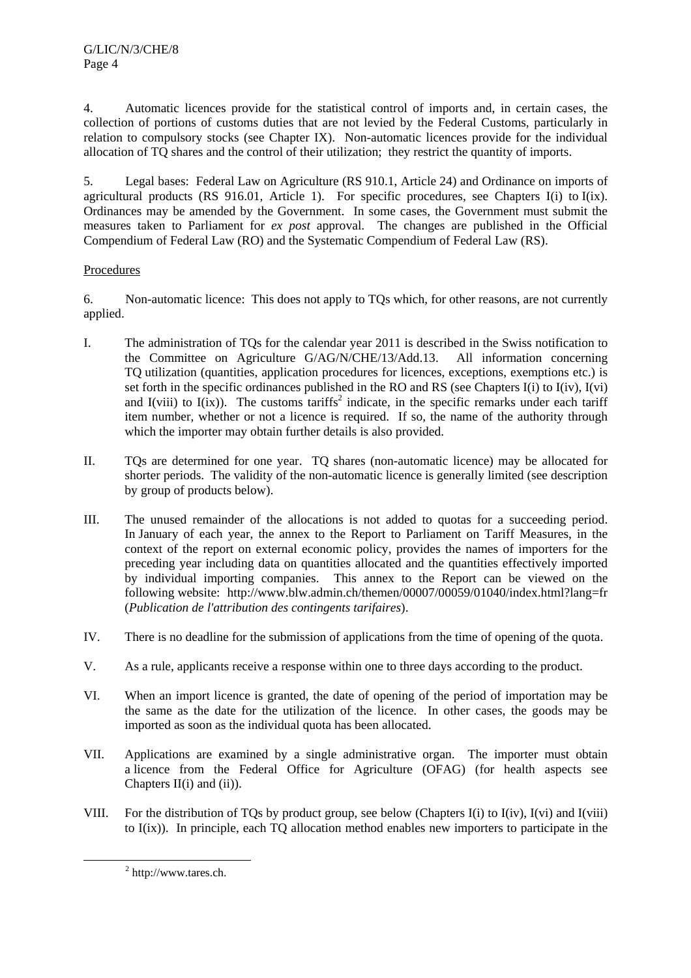4. Automatic licences provide for the statistical control of imports and, in certain cases, the collection of portions of customs duties that are not levied by the Federal Customs, particularly in relation to compulsory stocks (see Chapter IX). Non-automatic licences provide for the individual allocation of TQ shares and the control of their utilization; they restrict the quantity of imports.

5. Legal bases: Federal Law on Agriculture (RS 910.1, Article 24) and Ordinance on imports of agricultural products (RS 916.01, Article 1). For specific procedures, see Chapters I(i) to I(ix). Ordinances may be amended by the Government. In some cases, the Government must submit the measures taken to Parliament for *ex post* approval. The changes are published in the Official Compendium of Federal Law (RO) and the Systematic Compendium of Federal Law (RS).

# Procedures

6. Non-automatic licence: This does not apply to TQs which, for other reasons, are not currently applied.

- I. The administration of TQs for the calendar year 2011 is described in the Swiss notification to the Committee on Agriculture G/AG/N/CHE/13/Add.13. All information concerning TQ utilization (quantities, application procedures for licences, exceptions, exemptions etc.) is set forth in the specific ordinances published in the RO and RS (see Chapters I(i) to I(iv), I(vi) and I(viii) to I(ix)). The customs tariffs<sup>2</sup> indicate, in the specific remarks under each tariff item number, whether or not a licence is required. If so, the name of the authority through which the importer may obtain further details is also provided.
- II. TQs are determined for one year. TQ shares (non-automatic licence) may be allocated for shorter periods. The validity of the non-automatic licence is generally limited (see description by group of products below).
- III. The unused remainder of the allocations is not added to quotas for a succeeding period. In January of each year, the annex to the Report to Parliament on Tariff Measures, in the context of the report on external economic policy, provides the names of importers for the preceding year including data on quantities allocated and the quantities effectively imported by individual importing companies. This annex to the Report can be viewed on the following website: http://www.blw.admin.ch/themen/00007/00059/01040/index.html?lang=fr (*Publication de l'attribution des contingents tarifaires*).
- IV. There is no deadline for the submission of applications from the time of opening of the quota.
- V. As a rule, applicants receive a response within one to three days according to the product.
- VI. When an import licence is granted, the date of opening of the period of importation may be the same as the date for the utilization of the licence. In other cases, the goods may be imported as soon as the individual quota has been allocated.
- VII. Applications are examined by a single administrative organ. The importer must obtain a licence from the Federal Office for Agriculture (OFAG) (for health aspects see Chapters  $II(i)$  and  $(ii)$ ).
- VIII. For the distribution of TQs by product group, see below (Chapters I(i) to I(iv), I(vi) and I(viii) to I(ix)). In principle, each TQ allocation method enables new importers to participate in the

 $\frac{1}{2}$ http://www.tares.ch.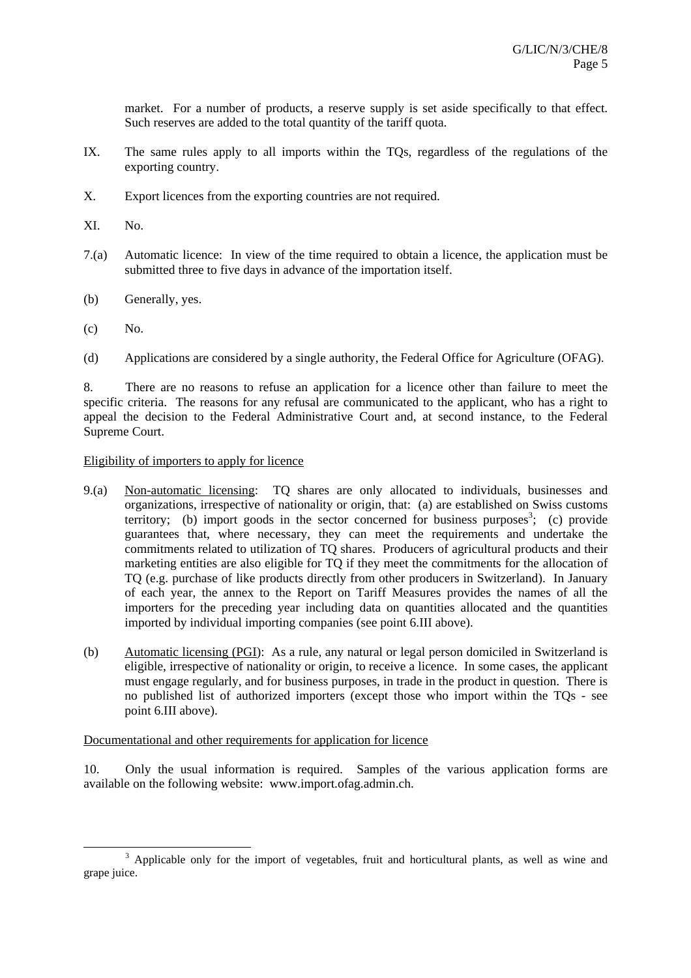market. For a number of products, a reserve supply is set aside specifically to that effect. Such reserves are added to the total quantity of the tariff quota.

- IX. The same rules apply to all imports within the TQs, regardless of the regulations of the exporting country.
- X. Export licences from the exporting countries are not required.
- XI. No.
- 7.(a) Automatic licence: In view of the time required to obtain a licence, the application must be submitted three to five days in advance of the importation itself.
- (b) Generally, yes.
- $(c)$  No.
- (d) Applications are considered by a single authority, the Federal Office for Agriculture (OFAG).

8. There are no reasons to refuse an application for a licence other than failure to meet the specific criteria. The reasons for any refusal are communicated to the applicant, who has a right to appeal the decision to the Federal Administrative Court and, at second instance, to the Federal Supreme Court.

## Eligibility of importers to apply for licence

- 9.(a) Non-automatic licensing: TQ shares are only allocated to individuals, businesses and organizations, irrespective of nationality or origin, that: (a) are established on Swiss customs territory; (b) import goods in the sector concerned for business purposes<sup>3</sup>; (c) provide guarantees that, where necessary, they can meet the requirements and undertake the commitments related to utilization of TQ shares. Producers of agricultural products and their marketing entities are also eligible for TQ if they meet the commitments for the allocation of TQ (e.g. purchase of like products directly from other producers in Switzerland). In January of each year, the annex to the Report on Tariff Measures provides the names of all the importers for the preceding year including data on quantities allocated and the quantities imported by individual importing companies (see point 6.III above).
- (b) Automatic licensing (PGI): As a rule, any natural or legal person domiciled in Switzerland is eligible, irrespective of nationality or origin, to receive a licence. In some cases, the applicant must engage regularly, and for business purposes, in trade in the product in question. There is no published list of authorized importers (except those who import within the TQs - see point 6.III above).

## Documentational and other requirements for application for licence

10. Only the usual information is required. Samples of the various application forms are available on the following website: www.import.ofag.admin.ch.

 <sup>3</sup> <sup>3</sup> Applicable only for the import of vegetables, fruit and horticultural plants, as well as wine and grape juice.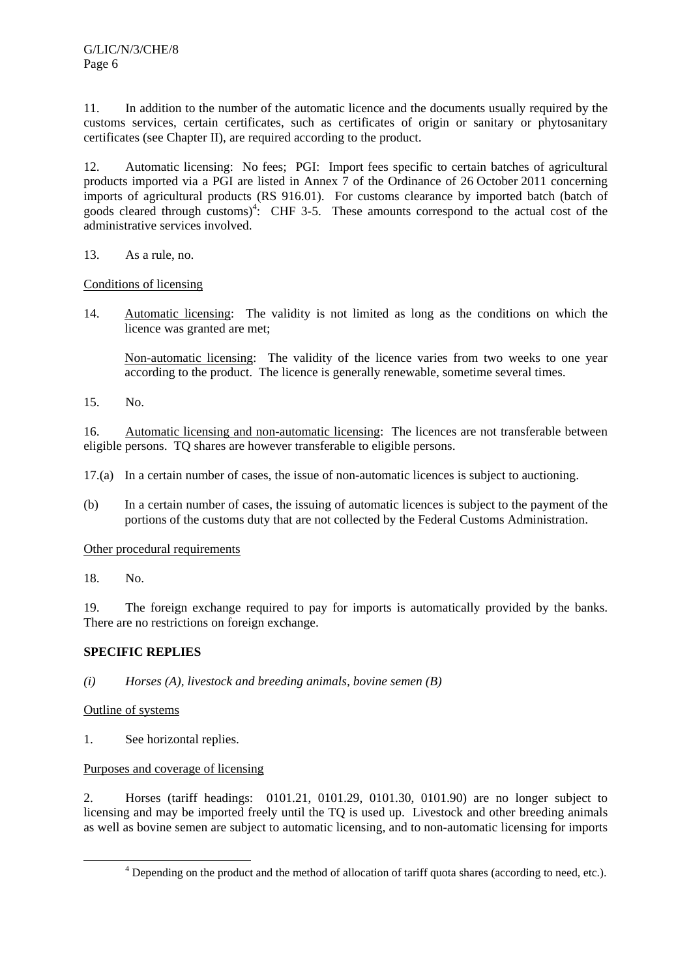11. In addition to the number of the automatic licence and the documents usually required by the customs services, certain certificates, such as certificates of origin or sanitary or phytosanitary certificates (see Chapter II), are required according to the product.

12. Automatic licensing: No fees; PGI: Import fees specific to certain batches of agricultural products imported via a PGI are listed in Annex 7 of the Ordinance of 26 October 2011 concerning imports of agricultural products (RS 916.01). For customs clearance by imported batch (batch of goods cleared through customs)<sup>4</sup>: CHF 3-5. These amounts correspond to the actual cost of the administrative services involved.

13. As a rule, no.

Conditions of licensing

14. Automatic licensing: The validity is not limited as long as the conditions on which the licence was granted are met;

 Non-automatic licensing: The validity of the licence varies from two weeks to one year according to the product. The licence is generally renewable, sometime several times.

15. No.

16. Automatic licensing and non-automatic licensing: The licences are not transferable between eligible persons. TQ shares are however transferable to eligible persons.

17.(a) In a certain number of cases, the issue of non-automatic licences is subject to auctioning.

(b) In a certain number of cases, the issuing of automatic licences is subject to the payment of the portions of the customs duty that are not collected by the Federal Customs Administration.

Other procedural requirements

18. No.

19. The foreign exchange required to pay for imports is automatically provided by the banks. There are no restrictions on foreign exchange.

# **SPECIFIC REPLIES**

*(i) Horses (A), livestock and breeding animals, bovine semen (B)* 

# Outline of systems

1. See horizontal replies.

# Purposes and coverage of licensing

2. Horses (tariff headings: 0101.21, 0101.29, 0101.30, 0101.90) are no longer subject to licensing and may be imported freely until the TQ is used up. Livestock and other breeding animals as well as bovine semen are subject to automatic licensing, and to non-automatic licensing for imports

 $\frac{1}{4}$ Depending on the product and the method of allocation of tariff quota shares (according to need, etc.).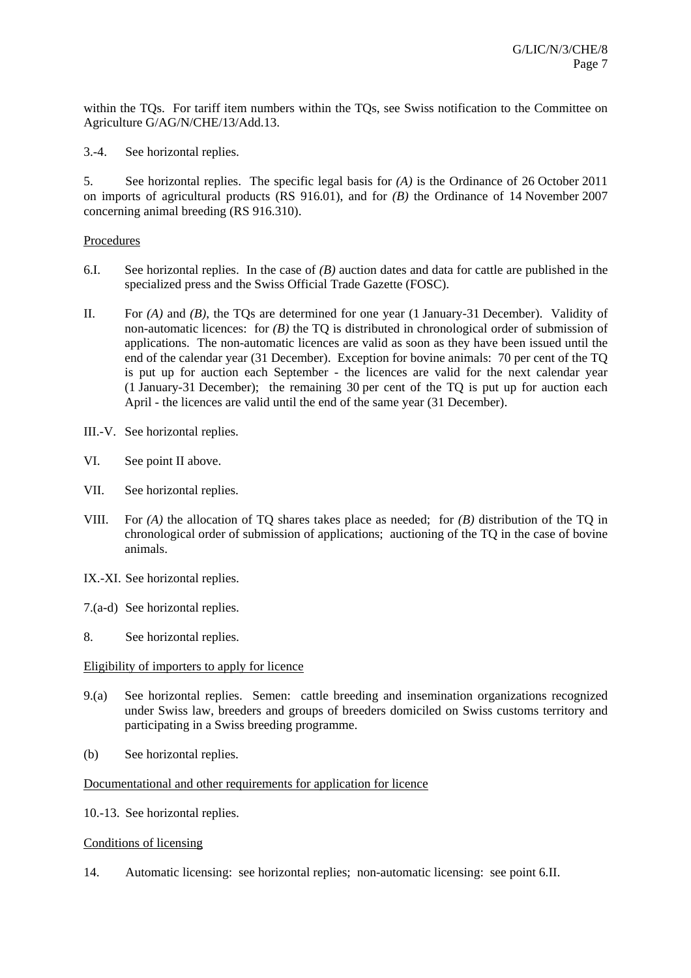within the TQs. For tariff item numbers within the TQs, see Swiss notification to the Committee on Agriculture G/AG/N/CHE/13/Add.13.

3.-4. See horizontal replies.

5. See horizontal replies. The specific legal basis for *(A)* is the Ordinance of 26 October 2011 on imports of agricultural products (RS 916.01), and for *(B)* the Ordinance of 14 November 2007 concerning animal breeding (RS 916.310).

## Procedures

- 6.I. See horizontal replies. In the case of *(B)* auction dates and data for cattle are published in the specialized press and the Swiss Official Trade Gazette (FOSC).
- II. For *(A)* and *(B)*, the TQs are determined for one year (1 January-31 December). Validity of non-automatic licences: for *(B)* the TQ is distributed in chronological order of submission of applications. The non-automatic licences are valid as soon as they have been issued until the end of the calendar year (31 December). Exception for bovine animals: 70 per cent of the TQ is put up for auction each September - the licences are valid for the next calendar year (1 January-31 December); the remaining 30 per cent of the TQ is put up for auction each April - the licences are valid until the end of the same year (31 December).
- III.-V. See horizontal replies.
- VI. See point II above.
- VII. See horizontal replies.
- VIII. For *(A)* the allocation of TQ shares takes place as needed; for *(B)* distribution of the TQ in chronological order of submission of applications; auctioning of the TQ in the case of bovine animals.
- IX.-XI. See horizontal replies.
- 7.(a-d) See horizontal replies.
- 8. See horizontal replies.

## Eligibility of importers to apply for licence

- 9.(a) See horizontal replies. Semen: cattle breeding and insemination organizations recognized under Swiss law, breeders and groups of breeders domiciled on Swiss customs territory and participating in a Swiss breeding programme.
- (b) See horizontal replies.

## Documentational and other requirements for application for licence

10.-13. See horizontal replies.

## Conditions of licensing

14. Automatic licensing: see horizontal replies; non-automatic licensing: see point 6.II.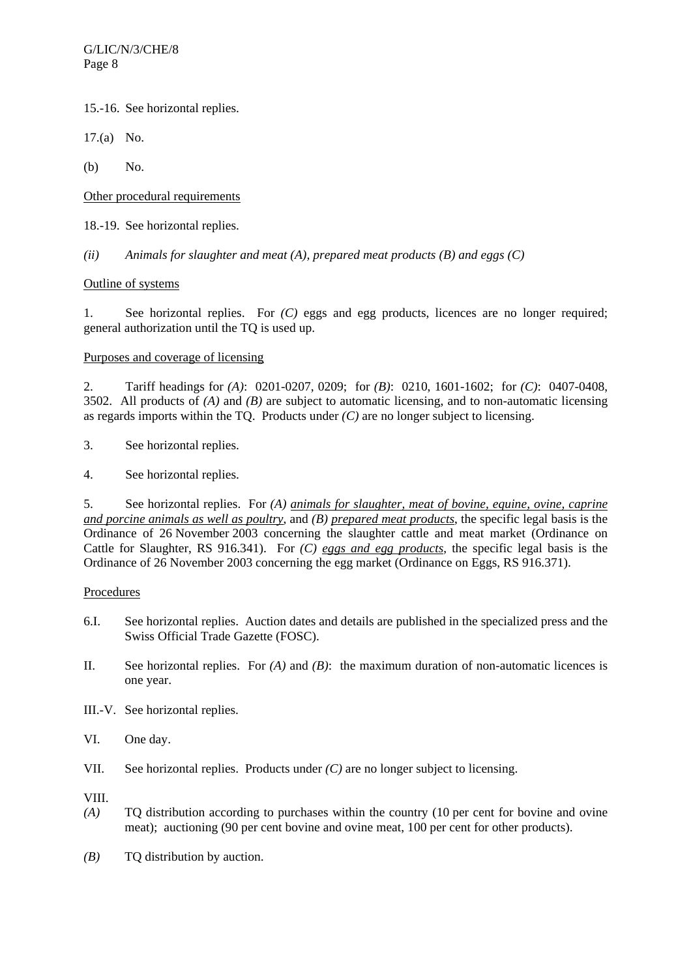15.-16. See horizontal replies.

17.(a) No.

(b) No.

Other procedural requirements

18.-19. See horizontal replies.

*(ii) Animals for slaughter and meat (A), prepared meat products (B) and eggs (C)* 

## Outline of systems

1. See horizontal replies. For *(C)* eggs and egg products, licences are no longer required; general authorization until the TQ is used up.

Purposes and coverage of licensing

2. Tariff headings for *(A)*: 0201-0207, 0209; for *(B)*: 0210, 1601-1602; for *(C)*: 0407-0408, 3502. All products of *(A)* and *(B)* are subject to automatic licensing, and to non-automatic licensing as regards imports within the TQ. Products under *(C)* are no longer subject to licensing.

3. See horizontal replies.

4. See horizontal replies.

5. See horizontal replies. For *(A) animals for slaughter, meat of bovine, equine, ovine, caprine and porcine animals as well as poultry*, and *(B) prepared meat products*, the specific legal basis is the Ordinance of 26 November 2003 concerning the slaughter cattle and meat market (Ordinance on Cattle for Slaughter, RS 916.341). For *(C) eggs and egg products*, the specific legal basis is the Ordinance of 26 November 2003 concerning the egg market (Ordinance on Eggs, RS 916.371).

## Procedures

- 6.I. See horizontal replies. Auction dates and details are published in the specialized press and the Swiss Official Trade Gazette (FOSC).
- II. See horizontal replies. For *(A)* and *(B)*: the maximum duration of non-automatic licences is one year.
- III.-V. See horizontal replies.
- VI. One day.
- VII. See horizontal replies. Products under *(C)* are no longer subject to licensing.

VIII.

- *(A)* TQ distribution according to purchases within the country (10 per cent for bovine and ovine meat); auctioning (90 per cent bovine and ovine meat, 100 per cent for other products).
- *(B)* TQ distribution by auction.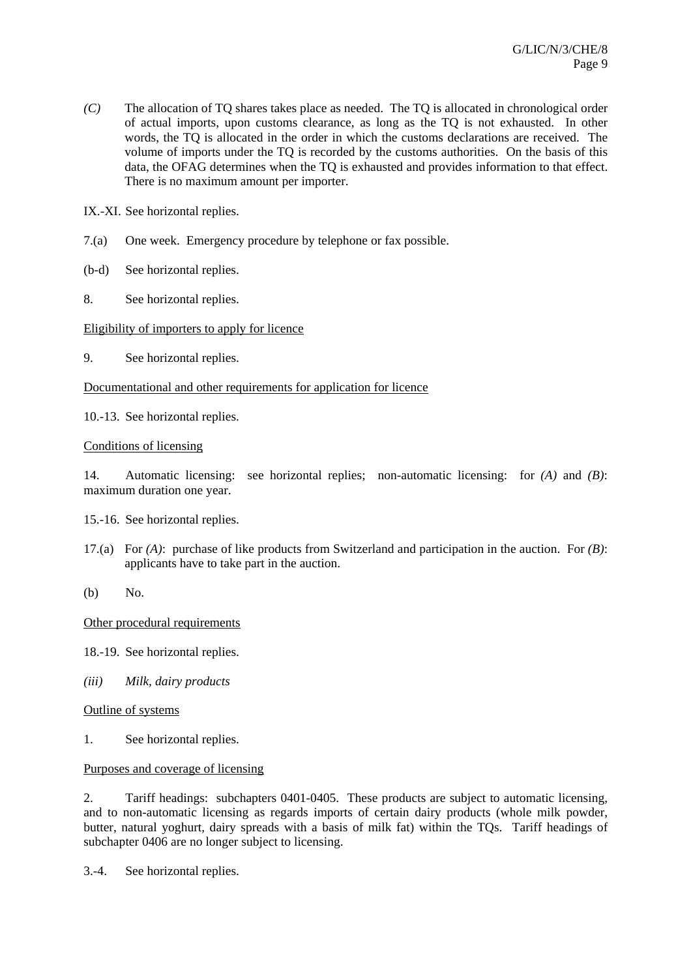*(C)* The allocation of TQ shares takes place as needed. The TQ is allocated in chronological order of actual imports, upon customs clearance, as long as the TQ is not exhausted. In other words, the TQ is allocated in the order in which the customs declarations are received. The volume of imports under the TQ is recorded by the customs authorities. On the basis of this data, the OFAG determines when the TQ is exhausted and provides information to that effect. There is no maximum amount per importer.

IX.-XI. See horizontal replies.

- 7.(a) One week. Emergency procedure by telephone or fax possible.
- (b-d) See horizontal replies.
- 8. See horizontal replies.

## Eligibility of importers to apply for licence

9. See horizontal replies.

# Documentational and other requirements for application for licence

10.-13. See horizontal replies.

Conditions of licensing

14. Automatic licensing: see horizontal replies; non-automatic licensing: for *(A)* and *(B)*: maximum duration one year.

15.-16. See horizontal replies.

- 17.(a) For *(A)*: purchase of like products from Switzerland and participation in the auction. For *(B)*: applicants have to take part in the auction.
- (b) No.

## Other procedural requirements

- 18.-19. See horizontal replies.
- *(iii) Milk, dairy products*

Outline of systems

1. See horizontal replies.

Purposes and coverage of licensing

2. Tariff headings: subchapters 0401-0405. These products are subject to automatic licensing, and to non-automatic licensing as regards imports of certain dairy products (whole milk powder, butter, natural yoghurt, dairy spreads with a basis of milk fat) within the TQs. Tariff headings of subchapter 0406 are no longer subject to licensing.

3.-4. See horizontal replies.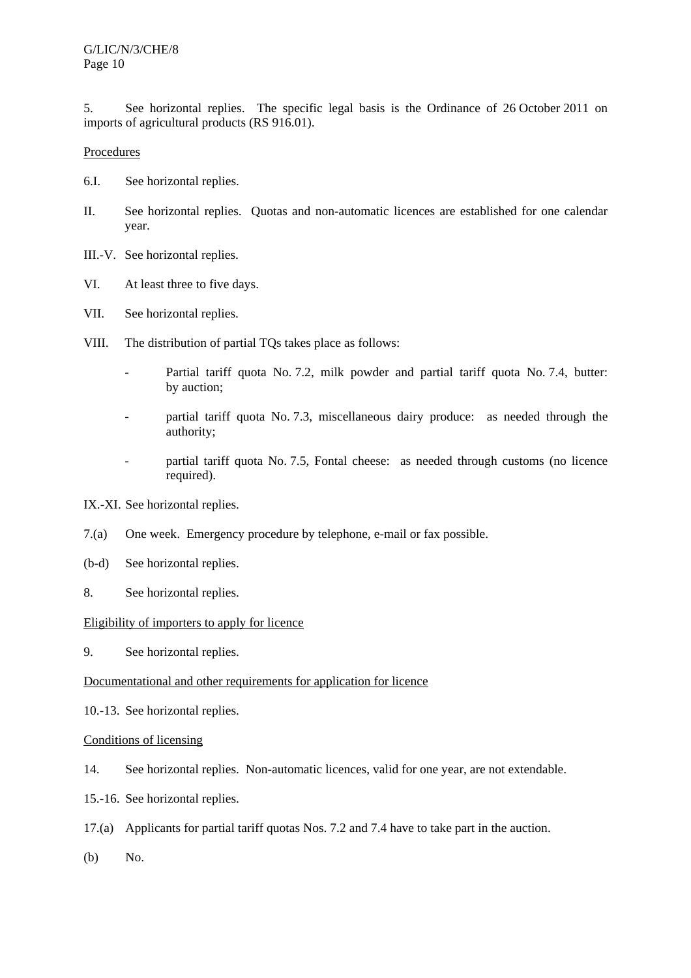5. See horizontal replies. The specific legal basis is the Ordinance of 26 October 2011 on imports of agricultural products (RS 916.01).

## Procedures

- 6.I. See horizontal replies.
- II. See horizontal replies. Quotas and non-automatic licences are established for one calendar year.
- III.-V. See horizontal replies.
- VI. At least three to five days.
- VII. See horizontal replies.
- VIII. The distribution of partial TQs takes place as follows:
	- Partial tariff quota No. 7.2, milk powder and partial tariff quota No. 7.4, butter: by auction;
	- partial tariff quota No. 7.3, miscellaneous dairy produce: as needed through the authority;
	- partial tariff quota No. 7.5, Fontal cheese: as needed through customs (no licence required).

IX.-XI. See horizontal replies.

- 7.(a) One week. Emergency procedure by telephone, e-mail or fax possible.
- (b-d) See horizontal replies.
- 8. See horizontal replies.

## Eligibility of importers to apply for licence

9. See horizontal replies.

## Documentational and other requirements for application for licence

10.-13. See horizontal replies.

## Conditions of licensing

- 14. See horizontal replies. Non-automatic licences, valid for one year, are not extendable.
- 15.-16. See horizontal replies.
- 17.(a) Applicants for partial tariff quotas Nos. 7.2 and 7.4 have to take part in the auction.
- (b) No.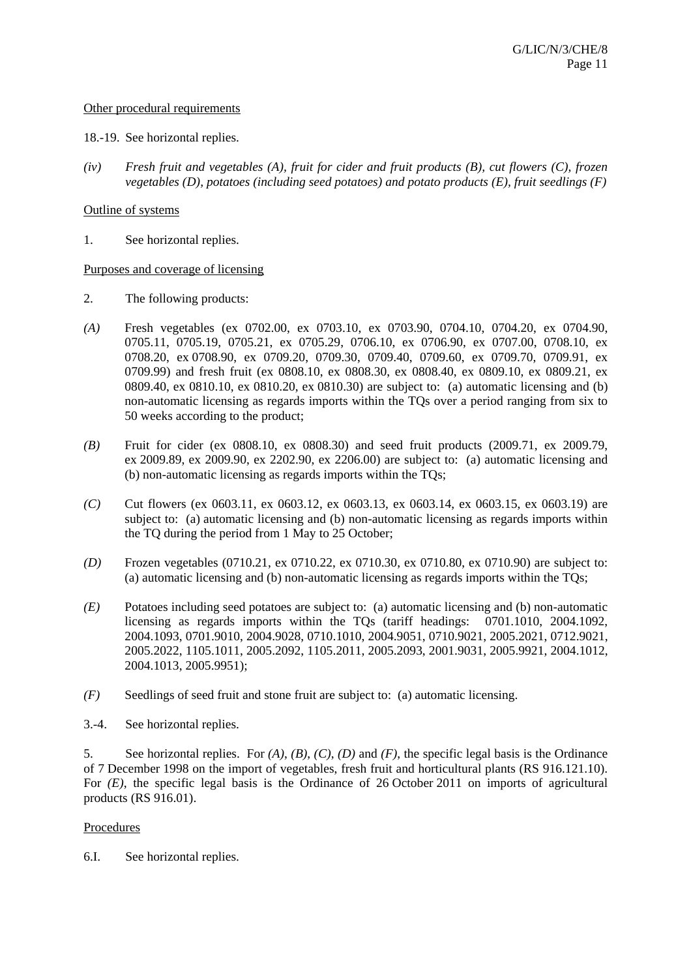#### Other procedural requirements

- 18.-19. See horizontal replies.
- *(iv) Fresh fruit and vegetables (A), fruit for cider and fruit products (B), cut flowers (C), frozen vegetables (D), potatoes (including seed potatoes) and potato products (E), fruit seedlings (F)*

#### Outline of systems

1. See horizontal replies.

#### Purposes and coverage of licensing

- 2. The following products:
- *(A)* Fresh vegetables (ex 0702.00, ex 0703.10, ex 0703.90, 0704.10, 0704.20, ex 0704.90, 0705.11, 0705.19, 0705.21, ex 0705.29, 0706.10, ex 0706.90, ex 0707.00, 0708.10, ex 0708.20, ex 0708.90, ex 0709.20, 0709.30, 0709.40, 0709.60, ex 0709.70, 0709.91, ex 0709.99) and fresh fruit (ex 0808.10, ex 0808.30, ex 0808.40, ex 0809.10, ex 0809.21, ex 0809.40, ex 0810.10, ex 0810.20, ex 0810.30) are subject to: (a) automatic licensing and (b) non-automatic licensing as regards imports within the TQs over a period ranging from six to 50 weeks according to the product;
- *(B)* Fruit for cider (ex 0808.10, ex 0808.30) and seed fruit products (2009.71, ex 2009.79, ex 2009.89, ex 2009.90, ex 2202.90, ex 2206.00) are subject to: (a) automatic licensing and (b) non-automatic licensing as regards imports within the TQs;
- *(C)* Cut flowers (ex 0603.11, ex 0603.12, ex 0603.13, ex 0603.14, ex 0603.15, ex 0603.19) are subject to: (a) automatic licensing and (b) non-automatic licensing as regards imports within the TQ during the period from 1 May to 25 October;
- *(D)* Frozen vegetables (0710.21, ex 0710.22, ex 0710.30, ex 0710.80, ex 0710.90) are subject to: (a) automatic licensing and (b) non-automatic licensing as regards imports within the TQs;
- *(E)* Potatoes including seed potatoes are subject to: (a) automatic licensing and (b) non-automatic licensing as regards imports within the TQs (tariff headings: 0701.1010, 2004.1092, 2004.1093, 0701.9010, 2004.9028, 0710.1010, 2004.9051, 0710.9021, 2005.2021, 0712.9021, 2005.2022, 1105.1011, 2005.2092, 1105.2011, 2005.2093, 2001.9031, 2005.9921, 2004.1012, 2004.1013, 2005.9951);
- *(F)* Seedlings of seed fruit and stone fruit are subject to: (a) automatic licensing.
- 3.-4. See horizontal replies.

5. See horizontal replies. For *(A)*, *(B)*, *(C)*, *(D)* and *(F)*, the specific legal basis is the Ordinance of 7 December 1998 on the import of vegetables, fresh fruit and horticultural plants (RS 916.121.10). For *(E)*, the specific legal basis is the Ordinance of 26 October 2011 on imports of agricultural products (RS 916.01).

## Procedures

6.I. See horizontal replies.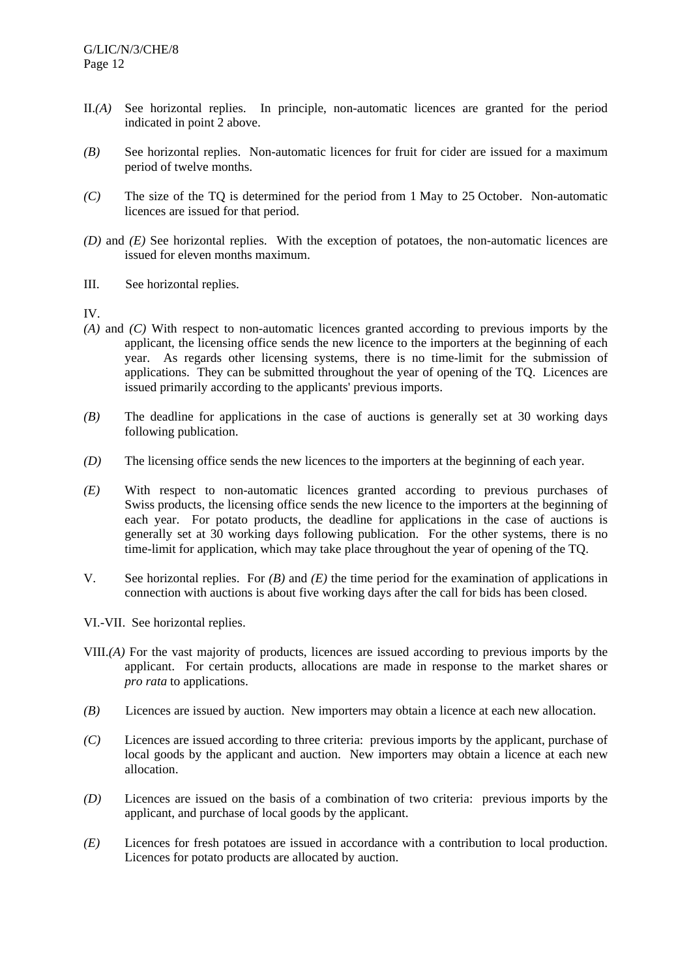- II.*(A)* See horizontal replies. In principle, non-automatic licences are granted for the period indicated in point 2 above.
- *(B)* See horizontal replies. Non-automatic licences for fruit for cider are issued for a maximum period of twelve months.
- *(C)* The size of the TQ is determined for the period from 1 May to 25 October. Non-automatic licences are issued for that period.
- *(D)* and *(E)* See horizontal replies. With the exception of potatoes, the non-automatic licences are issued for eleven months maximum.
- III. See horizontal replies.

IV.

- *(A)* and *(C)* With respect to non-automatic licences granted according to previous imports by the applicant, the licensing office sends the new licence to the importers at the beginning of each year. As regards other licensing systems, there is no time-limit for the submission of applications. They can be submitted throughout the year of opening of the TQ. Licences are issued primarily according to the applicants' previous imports.
- *(B)* The deadline for applications in the case of auctions is generally set at 30 working days following publication.
- *(D)* The licensing office sends the new licences to the importers at the beginning of each year.
- *(E)* With respect to non-automatic licences granted according to previous purchases of Swiss products, the licensing office sends the new licence to the importers at the beginning of each year. For potato products, the deadline for applications in the case of auctions is generally set at 30 working days following publication. For the other systems, there is no time-limit for application, which may take place throughout the year of opening of the TQ.
- V. See horizontal replies. For *(B)* and *(E)* the time period for the examination of applications in connection with auctions is about five working days after the call for bids has been closed.
- VI.-VII. See horizontal replies.
- VIII.*(A)* For the vast majority of products, licences are issued according to previous imports by the applicant. For certain products, allocations are made in response to the market shares or *pro rata* to applications.
- *(B)* Licences are issued by auction. New importers may obtain a licence at each new allocation.
- *(C)* Licences are issued according to three criteria: previous imports by the applicant, purchase of local goods by the applicant and auction. New importers may obtain a licence at each new allocation.
- *(D)* Licences are issued on the basis of a combination of two criteria: previous imports by the applicant, and purchase of local goods by the applicant.
- *(E)* Licences for fresh potatoes are issued in accordance with a contribution to local production. Licences for potato products are allocated by auction.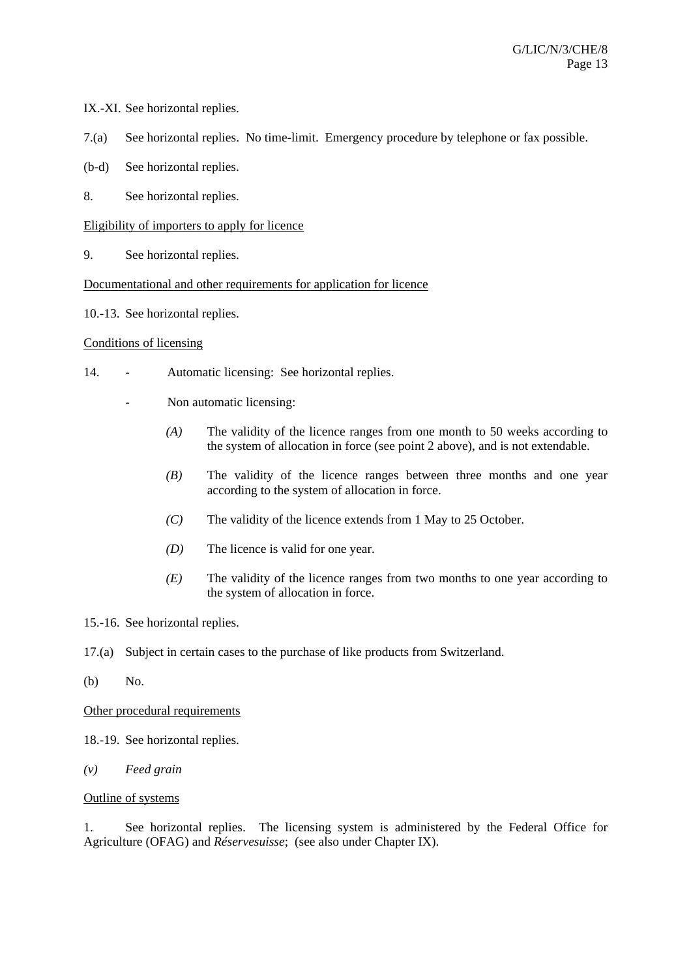- IX.-XI. See horizontal replies.
- 7.(a) See horizontal replies. No time-limit. Emergency procedure by telephone or fax possible.
- (b-d) See horizontal replies.
- 8. See horizontal replies.

## Eligibility of importers to apply for licence

9. See horizontal replies.

## Documentational and other requirements for application for licence

10.-13. See horizontal replies.

## Conditions of licensing

- 14. Automatic licensing: See horizontal replies.
	- Non automatic licensing:
		- *(A)* The validity of the licence ranges from one month to 50 weeks according to the system of allocation in force (see point 2 above), and is not extendable.
		- *(B)* The validity of the licence ranges between three months and one year according to the system of allocation in force.
		- *(C)* The validity of the licence extends from 1 May to 25 October.
		- *(D)* The licence is valid for one year.
		- *(E)* The validity of the licence ranges from two months to one year according to the system of allocation in force.
- 15.-16. See horizontal replies.
- 17.(a) Subject in certain cases to the purchase of like products from Switzerland.
- (b) No.

## Other procedural requirements

- 18.-19. See horizontal replies.
- *(v) Feed grain*

## Outline of systems

1. See horizontal replies. The licensing system is administered by the Federal Office for Agriculture (OFAG) and *Réservesuisse*; (see also under Chapter IX).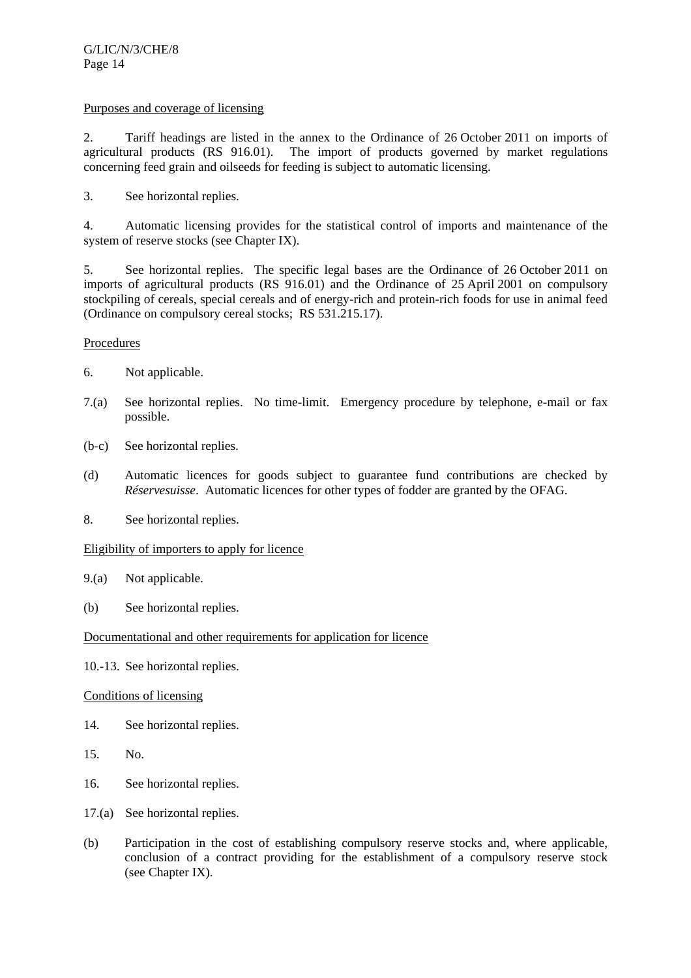## Purposes and coverage of licensing

2. Tariff headings are listed in the annex to the Ordinance of 26 October 2011 on imports of agricultural products (RS 916.01). The import of products governed by market regulations concerning feed grain and oilseeds for feeding is subject to automatic licensing.

3. See horizontal replies.

4. Automatic licensing provides for the statistical control of imports and maintenance of the system of reserve stocks (see Chapter IX).

5. See horizontal replies. The specific legal bases are the Ordinance of 26 October 2011 on imports of agricultural products (RS 916.01) and the Ordinance of 25 April 2001 on compulsory stockpiling of cereals, special cereals and of energy-rich and protein-rich foods for use in animal feed (Ordinance on compulsory cereal stocks; RS 531.215.17).

## Procedures

- 6. Not applicable.
- 7.(a) See horizontal replies. No time-limit. Emergency procedure by telephone, e-mail or fax possible.
- (b-c) See horizontal replies.
- (d) Automatic licences for goods subject to guarantee fund contributions are checked by *Réservesuisse*. Automatic licences for other types of fodder are granted by the OFAG.
- 8. See horizontal replies.

## Eligibility of importers to apply for licence

- 9.(a) Not applicable.
- (b) See horizontal replies.

## Documentational and other requirements for application for licence

10.-13. See horizontal replies.

## Conditions of licensing

- 14. See horizontal replies.
- 15. No.
- 16. See horizontal replies.
- 17.(a) See horizontal replies.
- (b) Participation in the cost of establishing compulsory reserve stocks and, where applicable, conclusion of a contract providing for the establishment of a compulsory reserve stock (see Chapter IX).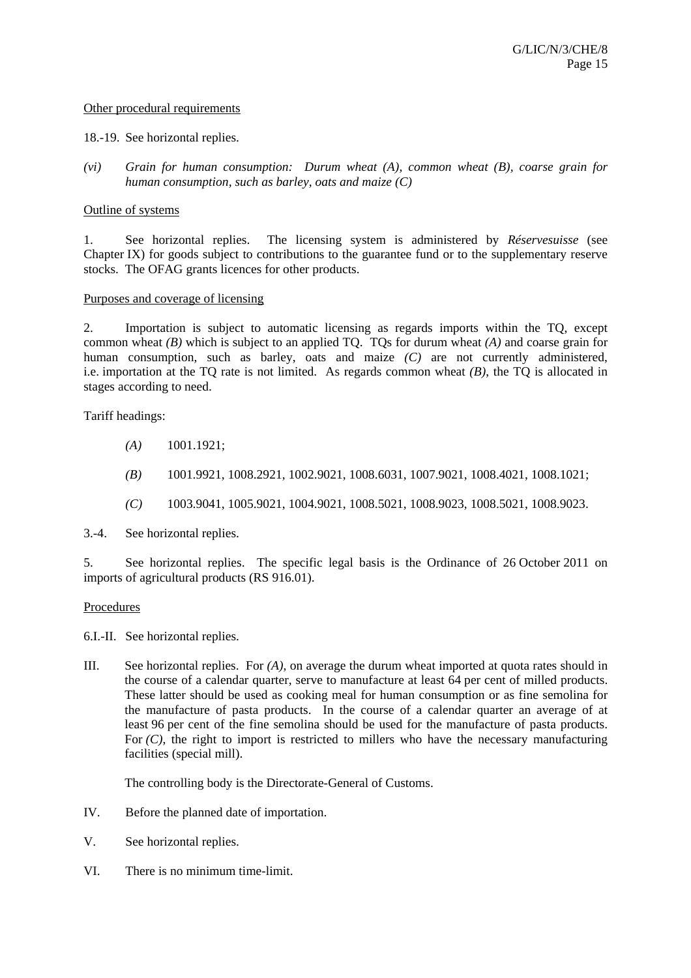#### Other procedural requirements

#### 18.-19. See horizontal replies.

*(vi) Grain for human consumption: Durum wheat (A), common wheat (B), coarse grain for human consumption, such as barley, oats and maize (C)* 

#### Outline of systems

1. See horizontal replies. The licensing system is administered by *Réservesuisse* (see Chapter IX) for goods subject to contributions to the guarantee fund or to the supplementary reserve stocks. The OFAG grants licences for other products.

#### Purposes and coverage of licensing

2. Importation is subject to automatic licensing as regards imports within the TQ, except common wheat *(B)* which is subject to an applied TQ. TQs for durum wheat *(A)* and coarse grain for human consumption, such as barley, oats and maize *(C)* are not currently administered, i.e. importation at the TQ rate is not limited. As regards common wheat *(B)*, the TQ is allocated in stages according to need.

Tariff headings:

- *(A)* 1001.1921;
- *(B)* 1001.9921, 1008.2921, 1002.9021, 1008.6031, 1007.9021, 1008.4021, 1008.1021;
- *(C)* 1003.9041, 1005.9021, 1004.9021, 1008.5021, 1008.9023, 1008.5021, 1008.9023.

3.-4. See horizontal replies.

5. See horizontal replies. The specific legal basis is the Ordinance of 26 October 2011 on imports of agricultural products (RS 916.01).

## **Procedures**

6.I.-II. See horizontal replies.

III. See horizontal replies. For *(A)*, on average the durum wheat imported at quota rates should in the course of a calendar quarter, serve to manufacture at least 64 per cent of milled products. These latter should be used as cooking meal for human consumption or as fine semolina for the manufacture of pasta products. In the course of a calendar quarter an average of at least 96 per cent of the fine semolina should be used for the manufacture of pasta products. For  $(C)$ , the right to import is restricted to millers who have the necessary manufacturing facilities (special mill).

The controlling body is the Directorate-General of Customs.

- IV. Before the planned date of importation.
- V. See horizontal replies.
- VI. There is no minimum time-limit.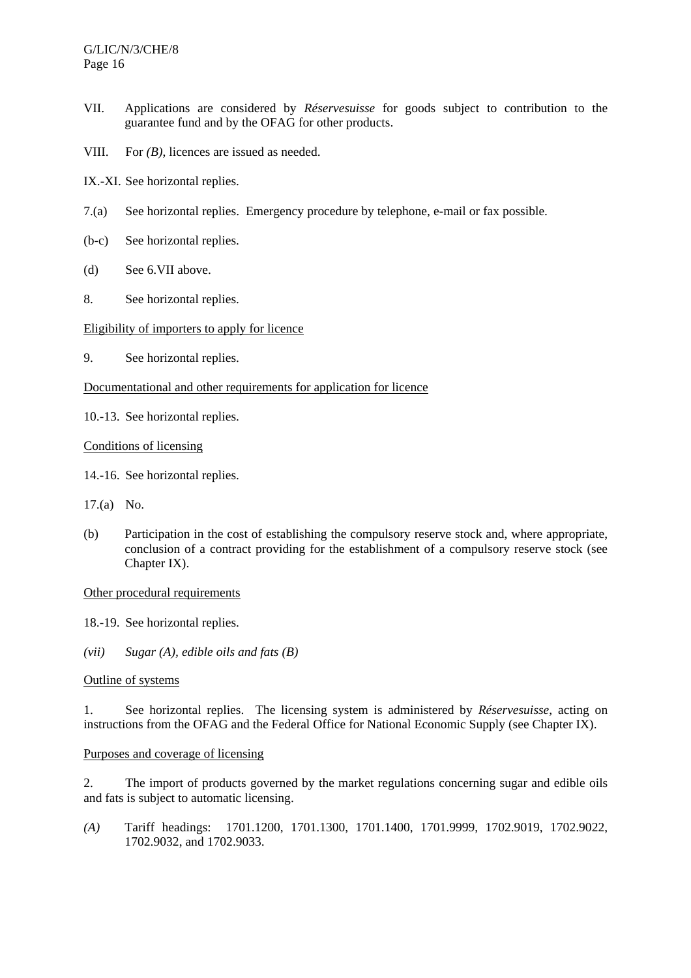- VII. Applications are considered by *Réservesuisse* for goods subject to contribution to the guarantee fund and by the OFAG for other products.
- VIII. For *(B)*, licences are issued as needed.
- IX.-XI. See horizontal replies.
- 7.(a) See horizontal replies. Emergency procedure by telephone, e-mail or fax possible.
- (b-c) See horizontal replies.
- (d) See 6.VII above.
- 8. See horizontal replies.

## Eligibility of importers to apply for licence

9. See horizontal replies.

## Documentational and other requirements for application for licence

10.-13. See horizontal replies.

Conditions of licensing

- 14.-16. See horizontal replies.
- 17.(a) No.
- (b) Participation in the cost of establishing the compulsory reserve stock and, where appropriate, conclusion of a contract providing for the establishment of a compulsory reserve stock (see Chapter IX).

Other procedural requirements

18.-19. See horizontal replies.

*(vii) Sugar (A), edible oils and fats (B)* 

# Outline of systems

1. See horizontal replies. The licensing system is administered by *Réservesuisse*, acting on instructions from the OFAG and the Federal Office for National Economic Supply (see Chapter IX).

## Purposes and coverage of licensing

2. The import of products governed by the market regulations concerning sugar and edible oils and fats is subject to automatic licensing.

*(A)* Tariff headings: 1701.1200, 1701.1300, 1701.1400, 1701.9999, 1702.9019, 1702.9022, 1702.9032, and 1702.9033.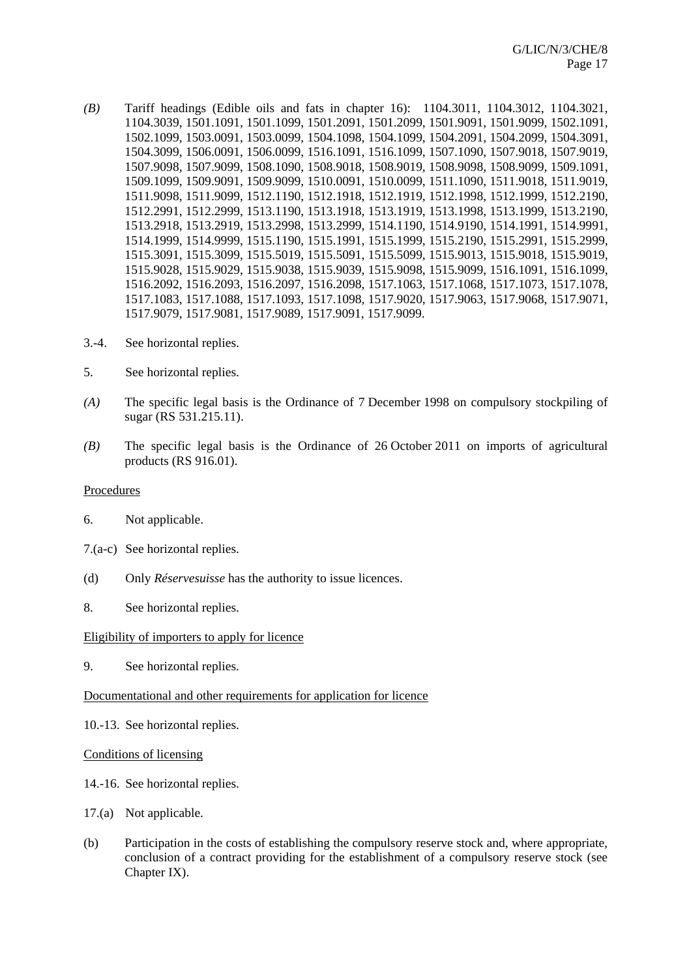- *(B)* Tariff headings (Edible oils and fats in chapter 16): 1104.3011, 1104.3012, 1104.3021, 1104.3039, 1501.1091, 1501.1099, 1501.2091, 1501.2099, 1501.9091, 1501.9099, 1502.1091, 1502.1099, 1503.0091, 1503.0099, 1504.1098, 1504.1099, 1504.2091, 1504.2099, 1504.3091, 1504.3099, 1506.0091, 1506.0099, 1516.1091, 1516.1099, 1507.1090, 1507.9018, 1507.9019, 1507.9098, 1507.9099, 1508.1090, 1508.9018, 1508.9019, 1508.9098, 1508.9099, 1509.1091, 1509.1099, 1509.9091, 1509.9099, 1510.0091, 1510.0099, 1511.1090, 1511.9018, 1511.9019, 1511.9098, 1511.9099, 1512.1190, 1512.1918, 1512.1919, 1512.1998, 1512.1999, 1512.2190, 1512.2991, 1512.2999, 1513.1190, 1513.1918, 1513.1919, 1513.1998, 1513.1999, 1513.2190, 1513.2918, 1513.2919, 1513.2998, 1513.2999, 1514.1190, 1514.9190, 1514.1991, 1514.9991, 1514.1999, 1514.9999, 1515.1190, 1515.1991, 1515.1999, 1515.2190, 1515.2991, 1515.2999, 1515.3091, 1515.3099, 1515.5019, 1515.5091, 1515.5099, 1515.9013, 1515.9018, 1515.9019, 1515.9028, 1515.9029, 1515.9038, 1515.9039, 1515.9098, 1515.9099, 1516.1091, 1516.1099, 1516.2092, 1516.2093, 1516.2097, 1516.2098, 1517.1063, 1517.1068, 1517.1073, 1517.1078, 1517.1083, 1517.1088, 1517.1093, 1517.1098, 1517.9020, 1517.9063, 1517.9068, 1517.9071, 1517.9079, 1517.9081, 1517.9089, 1517.9091, 1517.9099.
- 3.-4. See horizontal replies.
- 5. See horizontal replies.
- *(A)* The specific legal basis is the Ordinance of 7 December 1998 on compulsory stockpiling of sugar (RS 531.215.11).
- *(B)* The specific legal basis is the Ordinance of 26 October 2011 on imports of agricultural products (RS 916.01).

#### Procedures

- 6. Not applicable.
- 7.(a-c) See horizontal replies.
- (d) Only *Réservesuisse* has the authority to issue licences.
- 8. See horizontal replies.

#### Eligibility of importers to apply for licence

9. See horizontal replies.

#### Documentational and other requirements for application for licence

- 10.-13. See horizontal replies.
- Conditions of licensing
- 14.-16. See horizontal replies.
- 17.(a) Not applicable.
- (b) Participation in the costs of establishing the compulsory reserve stock and, where appropriate, conclusion of a contract providing for the establishment of a compulsory reserve stock (see Chapter IX).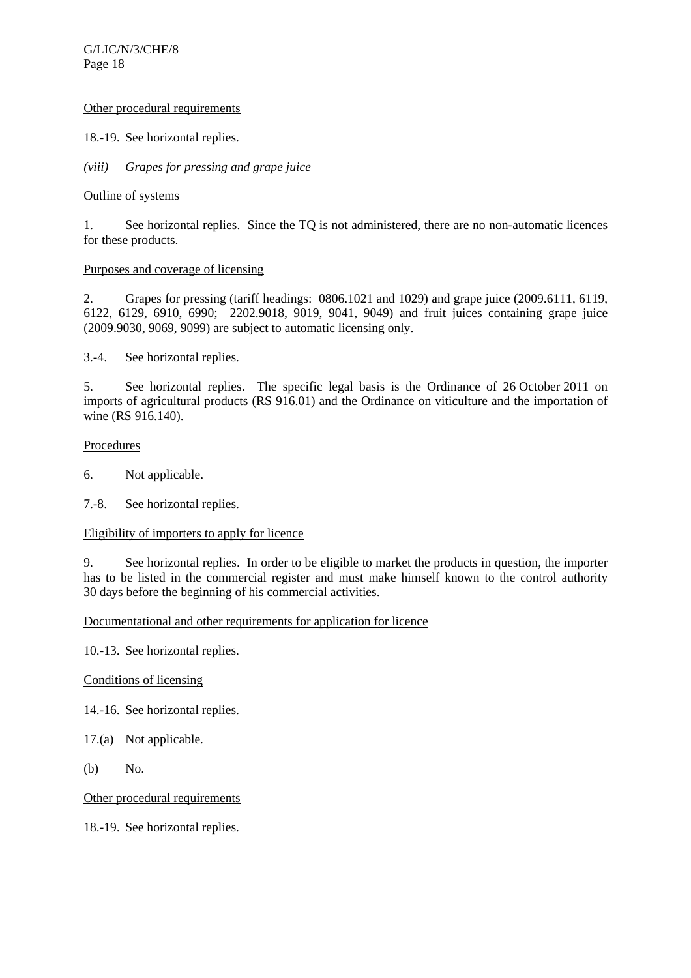## Other procedural requirements

18.-19. See horizontal replies.

*(viii) Grapes for pressing and grape juice* 

## Outline of systems

1. See horizontal replies. Since the TQ is not administered, there are no non-automatic licences for these products.

# Purposes and coverage of licensing

2. Grapes for pressing (tariff headings: 0806.1021 and 1029) and grape juice (2009.6111, 6119, 6122, 6129, 6910, 6990; 2202.9018, 9019, 9041, 9049) and fruit juices containing grape juice (2009.9030, 9069, 9099) are subject to automatic licensing only.

3.-4. See horizontal replies.

5. See horizontal replies. The specific legal basis is the Ordinance of 26 October 2011 on imports of agricultural products (RS 916.01) and the Ordinance on viticulture and the importation of wine (RS 916.140).

# **Procedures**

- 6. Not applicable.
- 7.-8. See horizontal replies.

## Eligibility of importers to apply for licence

9. See horizontal replies. In order to be eligible to market the products in question, the importer has to be listed in the commercial register and must make himself known to the control authority 30 days before the beginning of his commercial activities.

## Documentational and other requirements for application for licence

10.-13. See horizontal replies.

## Conditions of licensing

- 14.-16. See horizontal replies.
- 17.(a) Not applicable.
- (b) No.

Other procedural requirements

18.-19. See horizontal replies.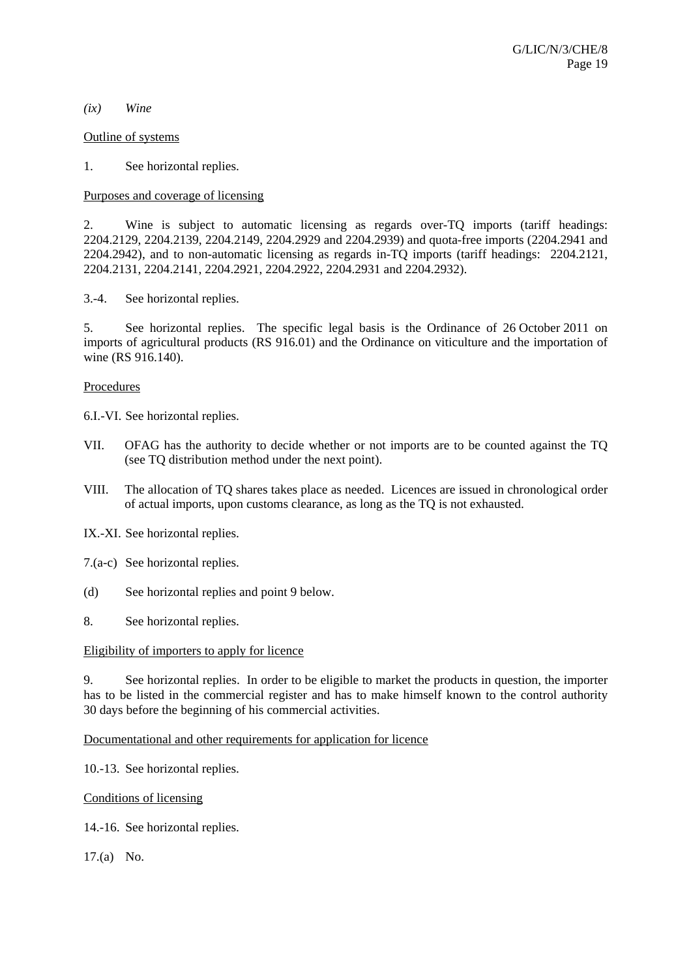#### *(ix) Wine*

#### Outline of systems

1. See horizontal replies.

## Purposes and coverage of licensing

2. Wine is subject to automatic licensing as regards over-TQ imports (tariff headings: 2204.2129, 2204.2139, 2204.2149, 2204.2929 and 2204.2939) and quota-free imports (2204.2941 and 2204.2942), and to non-automatic licensing as regards in-TQ imports (tariff headings: 2204.2121, 2204.2131, 2204.2141, 2204.2921, 2204.2922, 2204.2931 and 2204.2932).

3.-4. See horizontal replies.

5. See horizontal replies. The specific legal basis is the Ordinance of 26 October 2011 on imports of agricultural products (RS 916.01) and the Ordinance on viticulture and the importation of wine (RS 916.140).

## **Procedures**

6.I.-VI. See horizontal replies.

- VII. OFAG has the authority to decide whether or not imports are to be counted against the TQ (see TQ distribution method under the next point).
- VIII. The allocation of TQ shares takes place as needed. Licences are issued in chronological order of actual imports, upon customs clearance, as long as the TQ is not exhausted.

IX.-XI. See horizontal replies.

- 7.(a-c) See horizontal replies.
- (d) See horizontal replies and point 9 below.

8. See horizontal replies.

## Eligibility of importers to apply for licence

9. See horizontal replies. In order to be eligible to market the products in question, the importer has to be listed in the commercial register and has to make himself known to the control authority 30 days before the beginning of his commercial activities.

Documentational and other requirements for application for licence

10.-13. See horizontal replies.

Conditions of licensing

14.-16. See horizontal replies.

17.(a) No.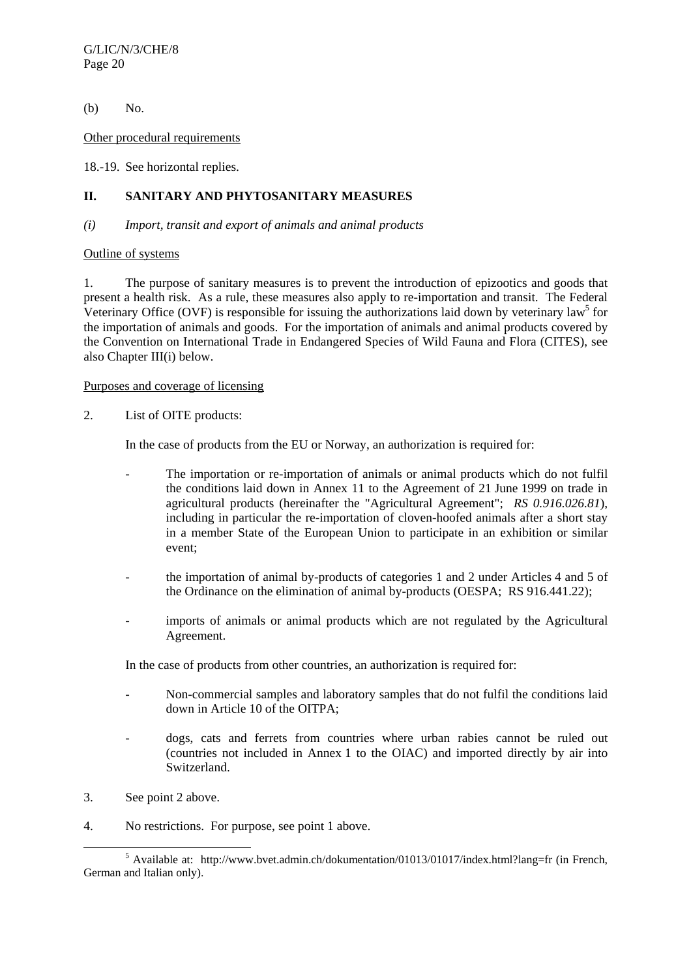(b) No.

Other procedural requirements

18.-19. See horizontal replies.

# **II. SANITARY AND PHYTOSANITARY MEASURES**

#### *(i) Import, transit and export of animals and animal products*

#### Outline of systems

1. The purpose of sanitary measures is to prevent the introduction of epizootics and goods that present a health risk. As a rule, these measures also apply to re-importation and transit. The Federal Veterinary Office (OVF) is responsible for issuing the authorizations laid down by veterinary law<sup>5</sup> for the importation of animals and goods. For the importation of animals and animal products covered by the Convention on International Trade in Endangered Species of Wild Fauna and Flora (CITES), see also Chapter III(i) below.

## Purposes and coverage of licensing

2. List of OITE products:

In the case of products from the EU or Norway, an authorization is required for:

- The importation or re-importation of animals or animal products which do not fulfil the conditions laid down in Annex 11 to the Agreement of 21 June 1999 on trade in agricultural products (hereinafter the "Agricultural Agreement"; *RS 0.916.026.81*), including in particular the re-importation of cloven-hoofed animals after a short stay in a member State of the European Union to participate in an exhibition or similar event;
- the importation of animal by-products of categories 1 and 2 under Articles 4 and 5 of the Ordinance on the elimination of animal by-products (OESPA; RS 916.441.22);
- imports of animals or animal products which are not regulated by the Agricultural Agreement.

In the case of products from other countries, an authorization is required for:

- Non-commercial samples and laboratory samples that do not fulfil the conditions laid down in Article 10 of the OITPA;
- dogs, cats and ferrets from countries where urban rabies cannot be ruled out (countries not included in Annex 1 to the OIAC) and imported directly by air into Switzerland.
- 3. See point 2 above.
- 4. No restrictions. For purpose, see point 1 above.

 $\frac{1}{5}$  $<sup>5</sup>$  Available at: http://www.bvet.admin.ch/dokumentation/01013/01017/index.html?lang=fr (in French,</sup> German and Italian only).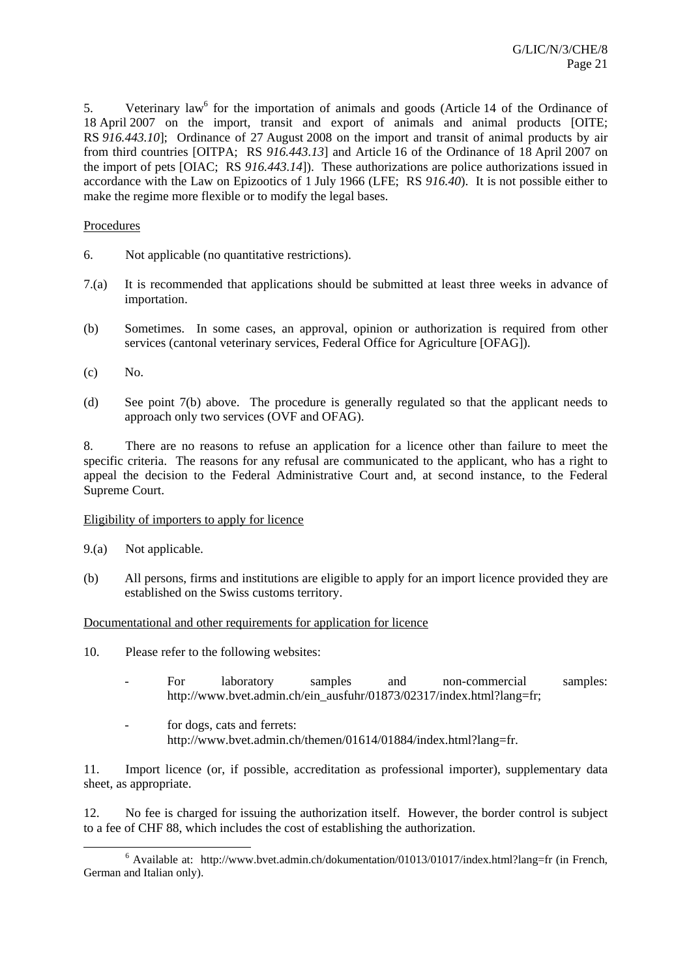5. Veterinary law<sup>6</sup> for the importation of animals and goods (Article 14 of the Ordinance of 18 April 2007 on the import, transit and export of animals and animal products [OITE; RS *916.443.10*]; Ordinance of 27 August 2008 on the import and transit of animal products by air from third countries [OITPA; RS *916.443.13*] and Article 16 of the Ordinance of 18 April 2007 on the import of pets [OIAC; RS *916.443.14*]). These authorizations are police authorizations issued in accordance with the Law on Epizootics of 1 July 1966 (LFE; RS *916.40*). It is not possible either to make the regime more flexible or to modify the legal bases.

## Procedures

- 6. Not applicable (no quantitative restrictions).
- 7.(a) It is recommended that applications should be submitted at least three weeks in advance of importation.
- (b) Sometimes. In some cases, an approval, opinion or authorization is required from other services (cantonal veterinary services, Federal Office for Agriculture [OFAG]).
- (c) No.
- (d) See point 7(b) above. The procedure is generally regulated so that the applicant needs to approach only two services (OVF and OFAG).

8. There are no reasons to refuse an application for a licence other than failure to meet the specific criteria. The reasons for any refusal are communicated to the applicant, who has a right to appeal the decision to the Federal Administrative Court and, at second instance, to the Federal Supreme Court.

## Eligibility of importers to apply for licence

- 9.(a) Not applicable.
- (b) All persons, firms and institutions are eligible to apply for an import licence provided they are established on the Swiss customs territory.

## Documentational and other requirements for application for licence

- 10. Please refer to the following websites:
	- For laboratory samples and non-commercial samples: http://www.bvet.admin.ch/ein\_ausfuhr/01873/02317/index.html?lang=fr;
	- for dogs, cats and ferrets: http://www.bvet.admin.ch/themen/01614/01884/index.html?lang=fr.

11. Import licence (or, if possible, accreditation as professional importer), supplementary data sheet, as appropriate.

12. No fee is charged for issuing the authorization itself. However, the border control is subject to a fee of CHF 88, which includes the cost of establishing the authorization.

 $\overline{6}$  $6$  Available at: http://www.bvet.admin.ch/dokumentation/01013/01017/index.html?lang=fr (in French, German and Italian only).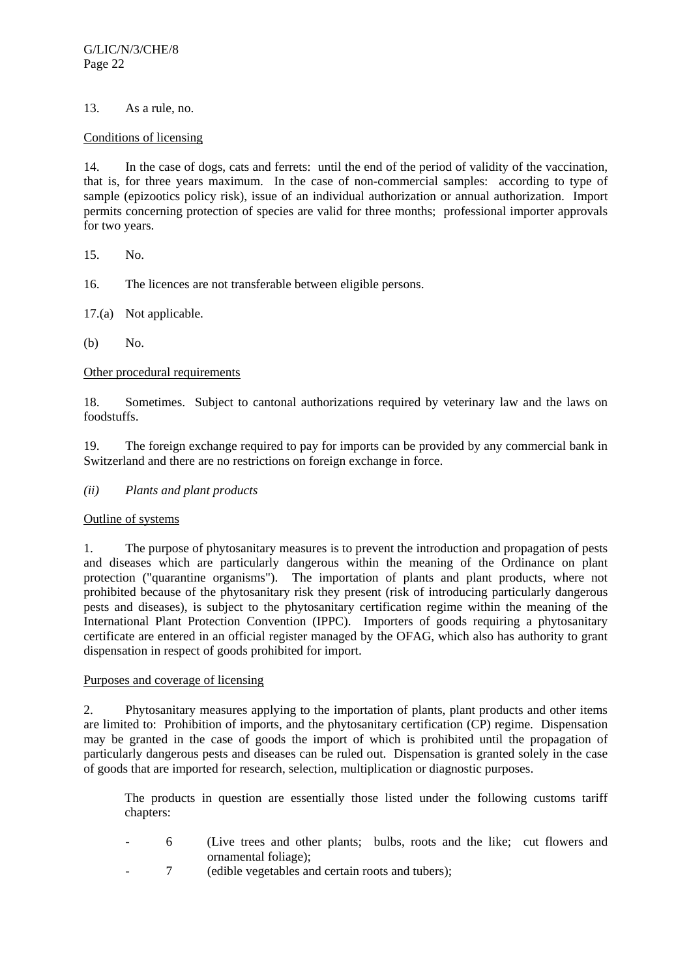# 13. As a rule, no.

## Conditions of licensing

14. In the case of dogs, cats and ferrets: until the end of the period of validity of the vaccination, that is, for three years maximum. In the case of non-commercial samples: according to type of sample (epizootics policy risk), issue of an individual authorization or annual authorization. Import permits concerning protection of species are valid for three months; professional importer approvals for two years.

15. No.

16. The licences are not transferable between eligible persons.

17.(a) Not applicable.

(b) No.

## Other procedural requirements

18. Sometimes. Subject to cantonal authorizations required by veterinary law and the laws on foodstuffs.

19. The foreign exchange required to pay for imports can be provided by any commercial bank in Switzerland and there are no restrictions on foreign exchange in force.

## *(ii) Plants and plant products*

## Outline of systems

1. The purpose of phytosanitary measures is to prevent the introduction and propagation of pests and diseases which are particularly dangerous within the meaning of the Ordinance on plant protection ("quarantine organisms"). The importation of plants and plant products, where not prohibited because of the phytosanitary risk they present (risk of introducing particularly dangerous pests and diseases), is subject to the phytosanitary certification regime within the meaning of the International Plant Protection Convention (IPPC). Importers of goods requiring a phytosanitary certificate are entered in an official register managed by the OFAG, which also has authority to grant dispensation in respect of goods prohibited for import.

## Purposes and coverage of licensing

2. Phytosanitary measures applying to the importation of plants, plant products and other items are limited to: Prohibition of imports, and the phytosanitary certification (CP) regime. Dispensation may be granted in the case of goods the import of which is prohibited until the propagation of particularly dangerous pests and diseases can be ruled out. Dispensation is granted solely in the case of goods that are imported for research, selection, multiplication or diagnostic purposes.

 The products in question are essentially those listed under the following customs tariff chapters:

- 6 (Live trees and other plants; bulbs, roots and the like; cut flowers and ornamental foliage);
- 7 (edible vegetables and certain roots and tubers):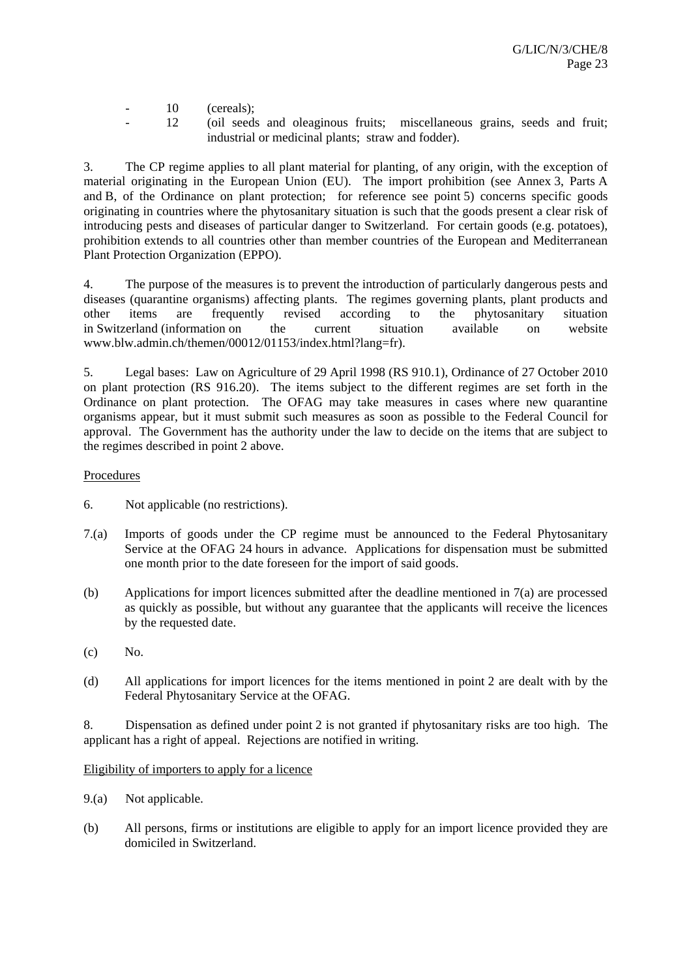- 10 (cereals);
- 12 (oil seeds and oleaginous fruits; miscellaneous grains, seeds and fruit; industrial or medicinal plants; straw and fodder).

3. The CP regime applies to all plant material for planting, of any origin, with the exception of material originating in the European Union (EU). The import prohibition (see Annex 3, Parts A and B, of the Ordinance on plant protection; for reference see point 5) concerns specific goods originating in countries where the phytosanitary situation is such that the goods present a clear risk of introducing pests and diseases of particular danger to Switzerland. For certain goods (e.g. potatoes), prohibition extends to all countries other than member countries of the European and Mediterranean Plant Protection Organization (EPPO).

4. The purpose of the measures is to prevent the introduction of particularly dangerous pests and diseases (quarantine organisms) affecting plants. The regimes governing plants, plant products and other items are frequently revised according to the phytosanitary situation in Switzerland (information on the current situation available on website www.blw.admin.ch/themen/00012/01153/index.html?lang=fr).

5. Legal bases: Law on Agriculture of 29 April 1998 (RS 910.1), Ordinance of 27 October 2010 on plant protection (RS 916.20). The items subject to the different regimes are set forth in the Ordinance on plant protection. The OFAG may take measures in cases where new quarantine organisms appear, but it must submit such measures as soon as possible to the Federal Council for approval. The Government has the authority under the law to decide on the items that are subject to the regimes described in point 2 above.

# Procedures

- 6. Not applicable (no restrictions).
- 7.(a) Imports of goods under the CP regime must be announced to the Federal Phytosanitary Service at the OFAG 24 hours in advance. Applications for dispensation must be submitted one month prior to the date foreseen for the import of said goods.
- (b) Applications for import licences submitted after the deadline mentioned in 7(a) are processed as quickly as possible, but without any guarantee that the applicants will receive the licences by the requested date.
- $(c)$  No.
- (d) All applications for import licences for the items mentioned in point 2 are dealt with by the Federal Phytosanitary Service at the OFAG.

8. Dispensation as defined under point 2 is not granted if phytosanitary risks are too high. The applicant has a right of appeal. Rejections are notified in writing.

## Eligibility of importers to apply for a licence

- 9.(a) Not applicable.
- (b) All persons, firms or institutions are eligible to apply for an import licence provided they are domiciled in Switzerland.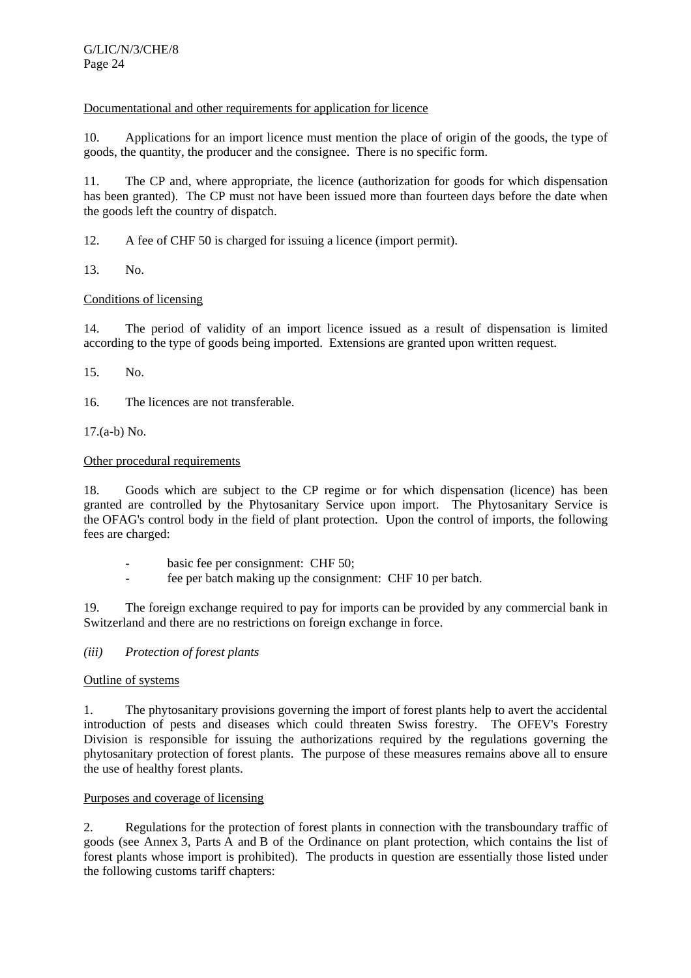# Documentational and other requirements for application for licence

10. Applications for an import licence must mention the place of origin of the goods, the type of goods, the quantity, the producer and the consignee. There is no specific form.

11. The CP and, where appropriate, the licence (authorization for goods for which dispensation has been granted). The CP must not have been issued more than fourteen days before the date when the goods left the country of dispatch.

12. A fee of CHF 50 is charged for issuing a licence (import permit).

13. No.

# Conditions of licensing

14. The period of validity of an import licence issued as a result of dispensation is limited according to the type of goods being imported. Extensions are granted upon written request.

15. No.

16. The licences are not transferable.

17.(a-b) No.

# Other procedural requirements

18. Goods which are subject to the CP regime or for which dispensation (licence) has been granted are controlled by the Phytosanitary Service upon import. The Phytosanitary Service is the OFAG's control body in the field of plant protection. Upon the control of imports, the following fees are charged:

- basic fee per consignment: CHF 50;
- fee per batch making up the consignment: CHF 10 per batch.

19. The foreign exchange required to pay for imports can be provided by any commercial bank in Switzerland and there are no restrictions on foreign exchange in force.

## *(iii) Protection of forest plants*

## Outline of systems

1. The phytosanitary provisions governing the import of forest plants help to avert the accidental introduction of pests and diseases which could threaten Swiss forestry. The OFEV's Forestry Division is responsible for issuing the authorizations required by the regulations governing the phytosanitary protection of forest plants. The purpose of these measures remains above all to ensure the use of healthy forest plants.

## Purposes and coverage of licensing

2. Regulations for the protection of forest plants in connection with the transboundary traffic of goods (see Annex 3, Parts A and B of the Ordinance on plant protection, which contains the list of forest plants whose import is prohibited). The products in question are essentially those listed under the following customs tariff chapters: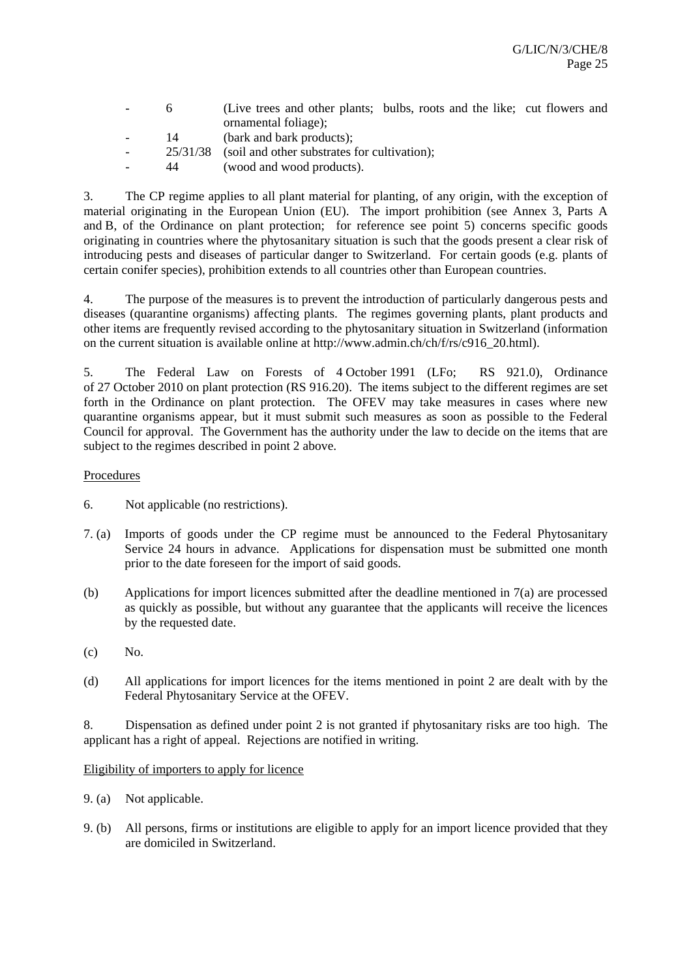|        |    | (Live trees and other plants; bulbs, roots and the like; cut flowers and |
|--------|----|--------------------------------------------------------------------------|
|        |    | ornamental foliage);                                                     |
|        | 14 | (bark and bark products);                                                |
| $\sim$ |    | $25/31/38$ (soil and other substrates for cultivation);                  |
|        | 44 | (wood and wood products).                                                |

3. The CP regime applies to all plant material for planting, of any origin, with the exception of material originating in the European Union (EU). The import prohibition (see Annex 3, Parts A and B, of the Ordinance on plant protection; for reference see point 5) concerns specific goods originating in countries where the phytosanitary situation is such that the goods present a clear risk of introducing pests and diseases of particular danger to Switzerland. For certain goods (e.g. plants of certain conifer species), prohibition extends to all countries other than European countries.

4. The purpose of the measures is to prevent the introduction of particularly dangerous pests and diseases (quarantine organisms) affecting plants. The regimes governing plants, plant products and other items are frequently revised according to the phytosanitary situation in Switzerland (information on the current situation is available online at http://www.admin.ch/ch/f/rs/c916\_20.html).

5. The Federal Law on Forests of 4 October 1991 (LFo; RS 921.0), Ordinance of 27 October 2010 on plant protection (RS 916.20). The items subject to the different regimes are set forth in the Ordinance on plant protection. The OFEV may take measures in cases where new quarantine organisms appear, but it must submit such measures as soon as possible to the Federal Council for approval. The Government has the authority under the law to decide on the items that are subject to the regimes described in point 2 above.

# Procedures

- 6. Not applicable (no restrictions).
- 7. (a) Imports of goods under the CP regime must be announced to the Federal Phytosanitary Service 24 hours in advance. Applications for dispensation must be submitted one month prior to the date foreseen for the import of said goods.
- (b) Applications for import licences submitted after the deadline mentioned in 7(a) are processed as quickly as possible, but without any guarantee that the applicants will receive the licences by the requested date.
- $(c)$  No.
- (d) All applications for import licences for the items mentioned in point 2 are dealt with by the Federal Phytosanitary Service at the OFEV.

8. Dispensation as defined under point 2 is not granted if phytosanitary risks are too high. The applicant has a right of appeal. Rejections are notified in writing.

## Eligibility of importers to apply for licence

- 9. (a) Not applicable.
- 9. (b) All persons, firms or institutions are eligible to apply for an import licence provided that they are domiciled in Switzerland.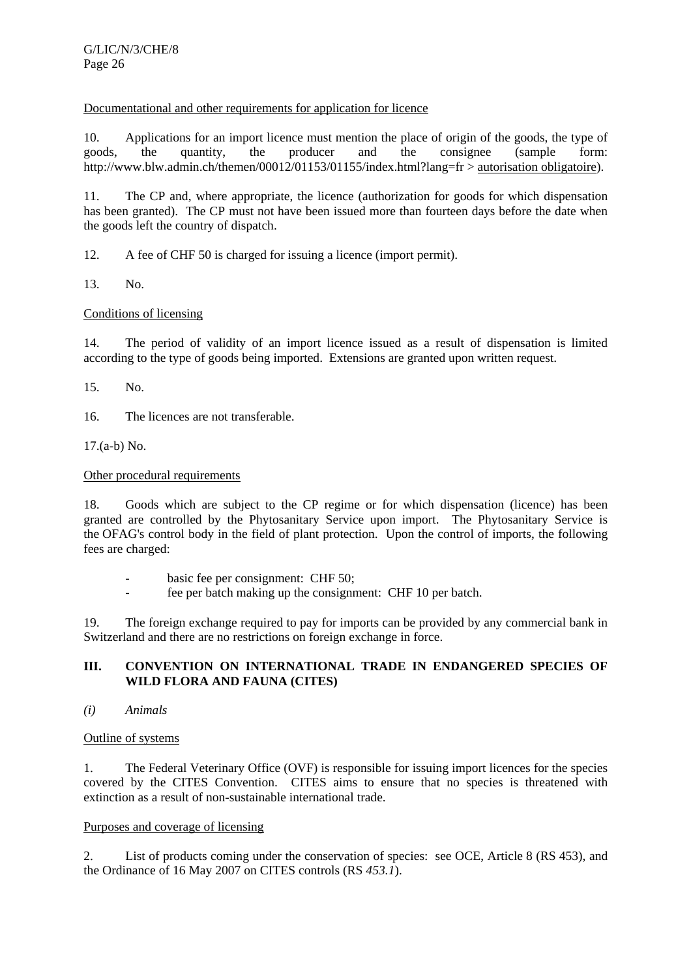# Documentational and other requirements for application for licence

10. Applications for an import licence must mention the place of origin of the goods, the type of goods, the quantity, the producer and the consignee (sample form: http://www.blw.admin.ch/themen/00012/01153/01155/index.html?lang=fr > autorisation obligatoire).

11. The CP and, where appropriate, the licence (authorization for goods for which dispensation has been granted). The CP must not have been issued more than fourteen days before the date when the goods left the country of dispatch.

12. A fee of CHF 50 is charged for issuing a licence (import permit).

13. No.

# Conditions of licensing

14. The period of validity of an import licence issued as a result of dispensation is limited according to the type of goods being imported. Extensions are granted upon written request.

15. No.

16. The licences are not transferable.

17.(a-b) No.

# Other procedural requirements

18. Goods which are subject to the CP regime or for which dispensation (licence) has been granted are controlled by the Phytosanitary Service upon import. The Phytosanitary Service is the OFAG's control body in the field of plant protection. Upon the control of imports, the following fees are charged:

- basic fee per consignment: CHF 50;
- fee per batch making up the consignment: CHF 10 per batch.

19. The foreign exchange required to pay for imports can be provided by any commercial bank in Switzerland and there are no restrictions on foreign exchange in force.

# **III. CONVENTION ON INTERNATIONAL TRADE IN ENDANGERED SPECIES OF WILD FLORA AND FAUNA (CITES)**

*(i) Animals* 

## Outline of systems

1. The Federal Veterinary Office (OVF) is responsible for issuing import licences for the species covered by the CITES Convention. CITES aims to ensure that no species is threatened with extinction as a result of non-sustainable international trade.

## Purposes and coverage of licensing

2. List of products coming under the conservation of species: see OCE, Article 8 (RS 453), and the Ordinance of 16 May 2007 on CITES controls (RS *453.1*).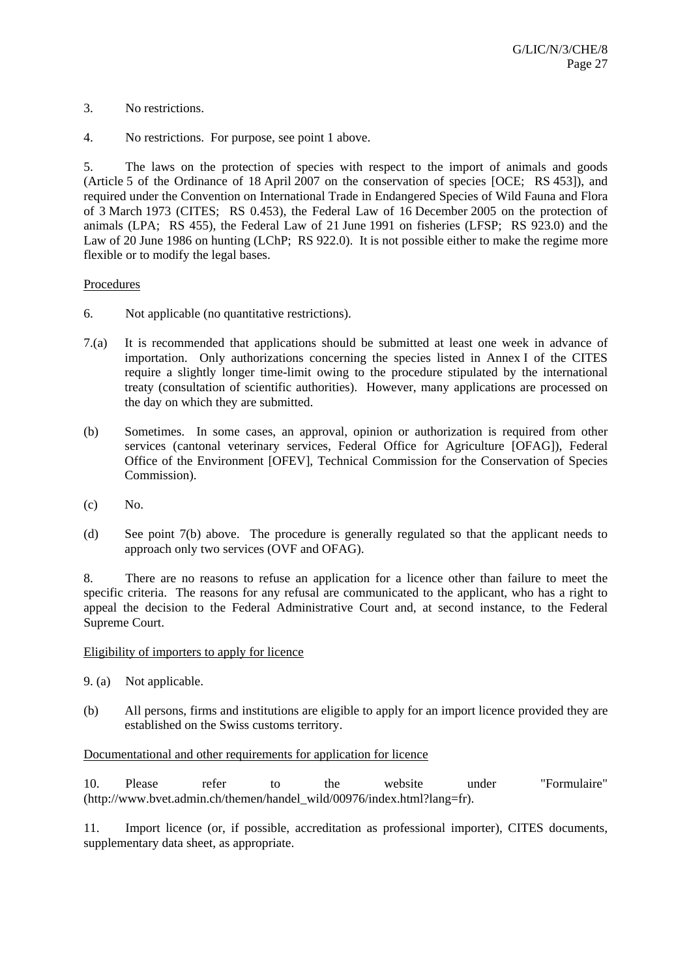- 3. No restrictions.
- 4. No restrictions. For purpose, see point 1 above.

5. The laws on the protection of species with respect to the import of animals and goods (Article 5 of the Ordinance of 18 April 2007 on the conservation of species [OCE; RS 453]), and required under the Convention on International Trade in Endangered Species of Wild Fauna and Flora of 3 March 1973 (CITES; RS 0.453), the Federal Law of 16 December 2005 on the protection of animals (LPA; RS 455), the Federal Law of 21 June 1991 on fisheries (LFSP; RS 923.0) and the Law of 20 June 1986 on hunting (LChP; RS 922.0). It is not possible either to make the regime more flexible or to modify the legal bases.

#### Procedures

- 6. Not applicable (no quantitative restrictions).
- 7.(a) It is recommended that applications should be submitted at least one week in advance of importation. Only authorizations concerning the species listed in Annex I of the CITES require a slightly longer time-limit owing to the procedure stipulated by the international treaty (consultation of scientific authorities). However, many applications are processed on the day on which they are submitted.
- (b) Sometimes. In some cases, an approval, opinion or authorization is required from other services (cantonal veterinary services, Federal Office for Agriculture [OFAG]), Federal Office of the Environment [OFEV], Technical Commission for the Conservation of Species Commission).
- $(c)$  No.
- (d) See point 7(b) above. The procedure is generally regulated so that the applicant needs to approach only two services (OVF and OFAG).

8. There are no reasons to refuse an application for a licence other than failure to meet the specific criteria. The reasons for any refusal are communicated to the applicant, who has a right to appeal the decision to the Federal Administrative Court and, at second instance, to the Federal Supreme Court.

#### Eligibility of importers to apply for licence

- 9. (a) Not applicable.
- (b) All persons, firms and institutions are eligible to apply for an import licence provided they are established on the Swiss customs territory.

#### Documentational and other requirements for application for licence

10. Please refer to the website under "Formulaire" (http://www.bvet.admin.ch/themen/handel\_wild/00976/index.html?lang=fr).

11. Import licence (or, if possible, accreditation as professional importer), CITES documents, supplementary data sheet, as appropriate.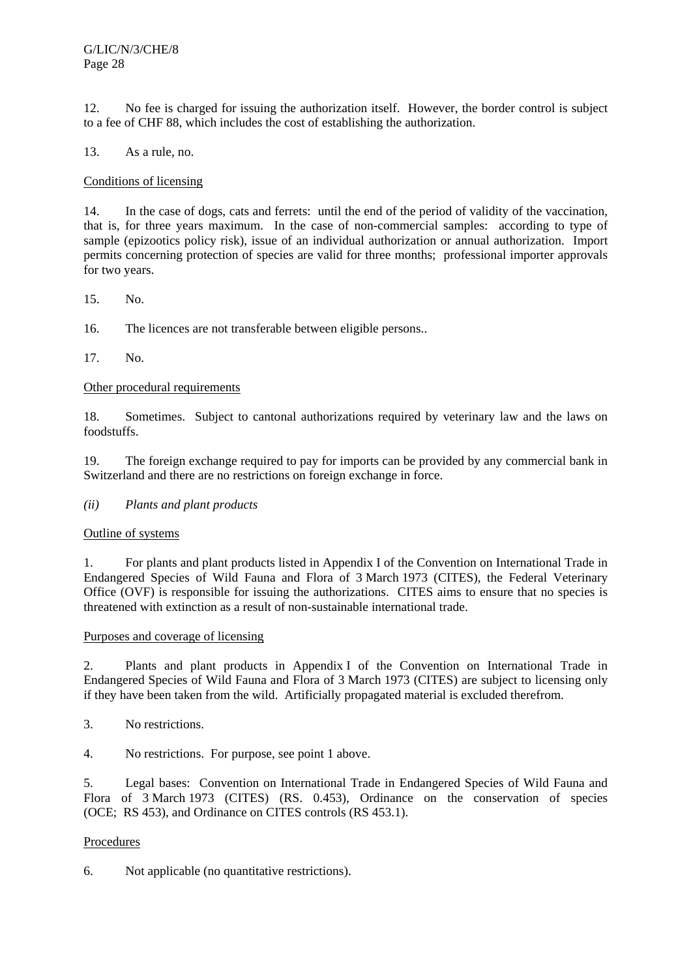12. No fee is charged for issuing the authorization itself. However, the border control is subject to a fee of CHF 88, which includes the cost of establishing the authorization.

13. As a rule, no.

## Conditions of licensing

14. In the case of dogs, cats and ferrets: until the end of the period of validity of the vaccination, that is, for three years maximum. In the case of non-commercial samples: according to type of sample (epizootics policy risk), issue of an individual authorization or annual authorization. Import permits concerning protection of species are valid for three months; professional importer approvals for two years.

15. No.

16. The licences are not transferable between eligible persons..

17. No.

# Other procedural requirements

18. Sometimes. Subject to cantonal authorizations required by veterinary law and the laws on foodstuffs.

19. The foreign exchange required to pay for imports can be provided by any commercial bank in Switzerland and there are no restrictions on foreign exchange in force.

## *(ii) Plants and plant products*

Outline of systems

1. For plants and plant products listed in Appendix I of the Convention on International Trade in Endangered Species of Wild Fauna and Flora of 3 March 1973 (CITES), the Federal Veterinary Office (OVF) is responsible for issuing the authorizations. CITES aims to ensure that no species is threatened with extinction as a result of non-sustainable international trade.

## Purposes and coverage of licensing

2. Plants and plant products in Appendix I of the Convention on International Trade in Endangered Species of Wild Fauna and Flora of 3 March 1973 (CITES) are subject to licensing only if they have been taken from the wild. Artificially propagated material is excluded therefrom.

3. No restrictions.

4. No restrictions. For purpose, see point 1 above.

5. Legal bases: Convention on International Trade in Endangered Species of Wild Fauna and Flora of 3 March 1973 (CITES) (RS. 0.453), Ordinance on the conservation of species (OCE; RS 453), and Ordinance on CITES controls (RS 453.1).

# **Procedures**

6. Not applicable (no quantitative restrictions).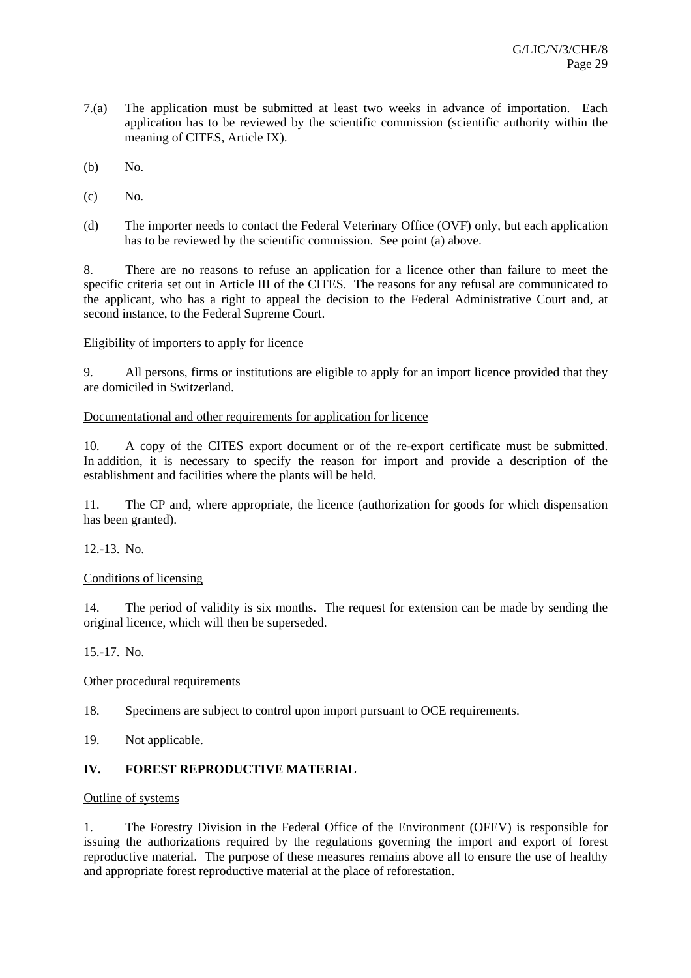- 7.(a) The application must be submitted at least two weeks in advance of importation. Each application has to be reviewed by the scientific commission (scientific authority within the meaning of CITES, Article IX).
- (b) No.
- $(c)$  No.
- (d) The importer needs to contact the Federal Veterinary Office (OVF) only, but each application has to be reviewed by the scientific commission. See point (a) above.

8. There are no reasons to refuse an application for a licence other than failure to meet the specific criteria set out in Article III of the CITES. The reasons for any refusal are communicated to the applicant, who has a right to appeal the decision to the Federal Administrative Court and, at second instance, to the Federal Supreme Court.

# Eligibility of importers to apply for licence

9. All persons, firms or institutions are eligible to apply for an import licence provided that they are domiciled in Switzerland.

# Documentational and other requirements for application for licence

10. A copy of the CITES export document or of the re-export certificate must be submitted. In addition, it is necessary to specify the reason for import and provide a description of the establishment and facilities where the plants will be held.

11. The CP and, where appropriate, the licence (authorization for goods for which dispensation has been granted).

12.-13. No.

# Conditions of licensing

14. The period of validity is six months. The request for extension can be made by sending the original licence, which will then be superseded.

15.-17. No.

# Other procedural requirements

- 18. Specimens are subject to control upon import pursuant to OCE requirements.
- 19. Not applicable.

# **IV. FOREST REPRODUCTIVE MATERIAL**

## Outline of systems

1. The Forestry Division in the Federal Office of the Environment (OFEV) is responsible for issuing the authorizations required by the regulations governing the import and export of forest reproductive material. The purpose of these measures remains above all to ensure the use of healthy and appropriate forest reproductive material at the place of reforestation.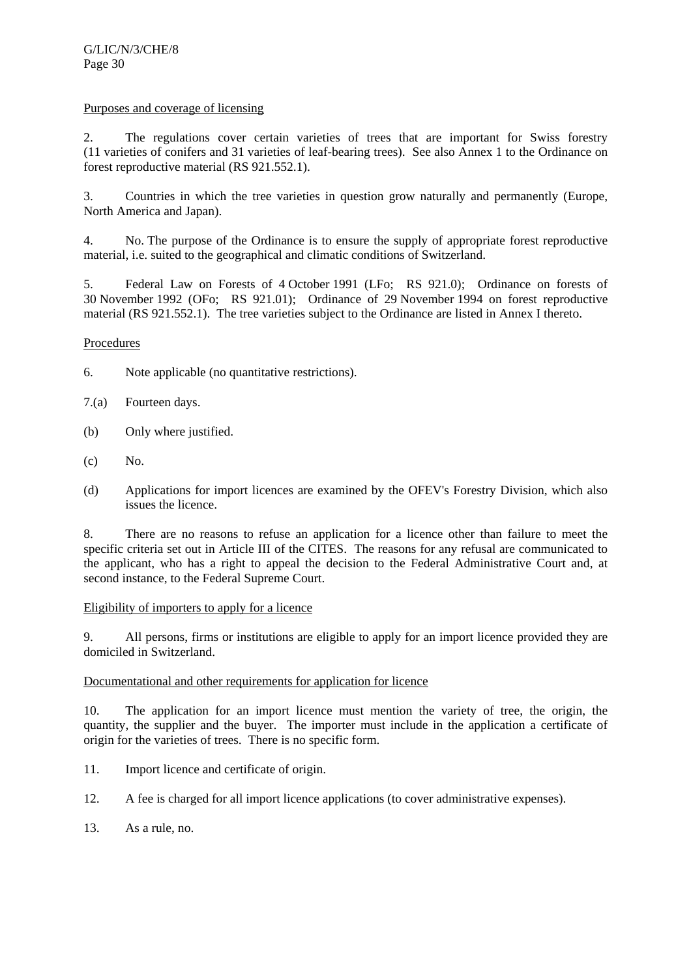## Purposes and coverage of licensing

2. The regulations cover certain varieties of trees that are important for Swiss forestry (11 varieties of conifers and 31 varieties of leaf-bearing trees). See also Annex 1 to the Ordinance on forest reproductive material (RS 921.552.1).

3. Countries in which the tree varieties in question grow naturally and permanently (Europe, North America and Japan).

4. No. The purpose of the Ordinance is to ensure the supply of appropriate forest reproductive material, i.e. suited to the geographical and climatic conditions of Switzerland.

5. Federal Law on Forests of 4 October 1991 (LFo; RS 921.0); Ordinance on forests of 30 November 1992 (OFo; RS 921.01); Ordinance of 29 November 1994 on forest reproductive material (RS 921.552.1). The tree varieties subject to the Ordinance are listed in Annex I thereto.

# Procedures

- 6. Note applicable (no quantitative restrictions).
- 7.(a) Fourteen days.
- (b) Only where justified.
- (c) No.
- (d) Applications for import licences are examined by the OFEV's Forestry Division, which also issues the licence.

8. There are no reasons to refuse an application for a licence other than failure to meet the specific criteria set out in Article III of the CITES. The reasons for any refusal are communicated to the applicant, who has a right to appeal the decision to the Federal Administrative Court and, at second instance, to the Federal Supreme Court.

## Eligibility of importers to apply for a licence

9. All persons, firms or institutions are eligible to apply for an import licence provided they are domiciled in Switzerland.

## Documentational and other requirements for application for licence

10. The application for an import licence must mention the variety of tree, the origin, the quantity, the supplier and the buyer. The importer must include in the application a certificate of origin for the varieties of trees. There is no specific form.

- 11. Import licence and certificate of origin.
- 12. A fee is charged for all import licence applications (to cover administrative expenses).
- 13. As a rule, no.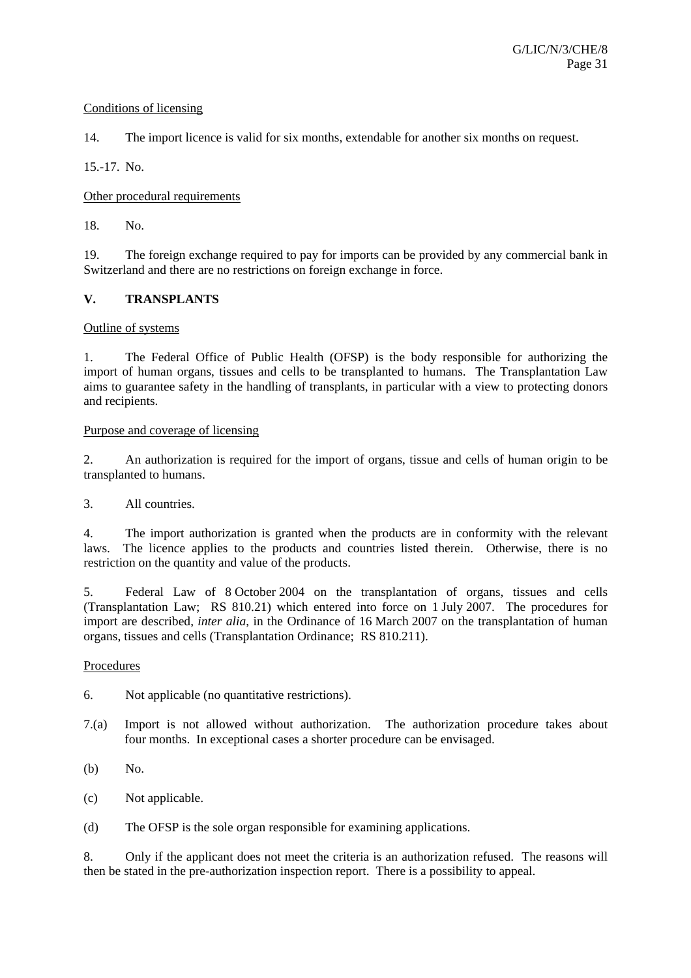## Conditions of licensing

14. The import licence is valid for six months, extendable for another six months on request.

15.-17. No.

# Other procedural requirements

18. No.

19. The foreign exchange required to pay for imports can be provided by any commercial bank in Switzerland and there are no restrictions on foreign exchange in force.

# **V. TRANSPLANTS**

## Outline of systems

1. The Federal Office of Public Health (OFSP) is the body responsible for authorizing the import of human organs, tissues and cells to be transplanted to humans. The Transplantation Law aims to guarantee safety in the handling of transplants, in particular with a view to protecting donors and recipients.

## Purpose and coverage of licensing

2. An authorization is required for the import of organs, tissue and cells of human origin to be transplanted to humans.

3. All countries.

4. The import authorization is granted when the products are in conformity with the relevant laws. The licence applies to the products and countries listed therein. Otherwise, there is no restriction on the quantity and value of the products.

5. Federal Law of 8 October 2004 on the transplantation of organs, tissues and cells (Transplantation Law; RS 810.21) which entered into force on 1 July 2007. The procedures for import are described, *inter alia*, in the Ordinance of 16 March 2007 on the transplantation of human organs, tissues and cells (Transplantation Ordinance; RS 810.211).

## Procedures

6. Not applicable (no quantitative restrictions).

- 7.(a) Import is not allowed without authorization. The authorization procedure takes about four months. In exceptional cases a shorter procedure can be envisaged.
- (b) No.
- (c) Not applicable.
- (d) The OFSP is the sole organ responsible for examining applications.

8. Only if the applicant does not meet the criteria is an authorization refused. The reasons will then be stated in the pre-authorization inspection report. There is a possibility to appeal.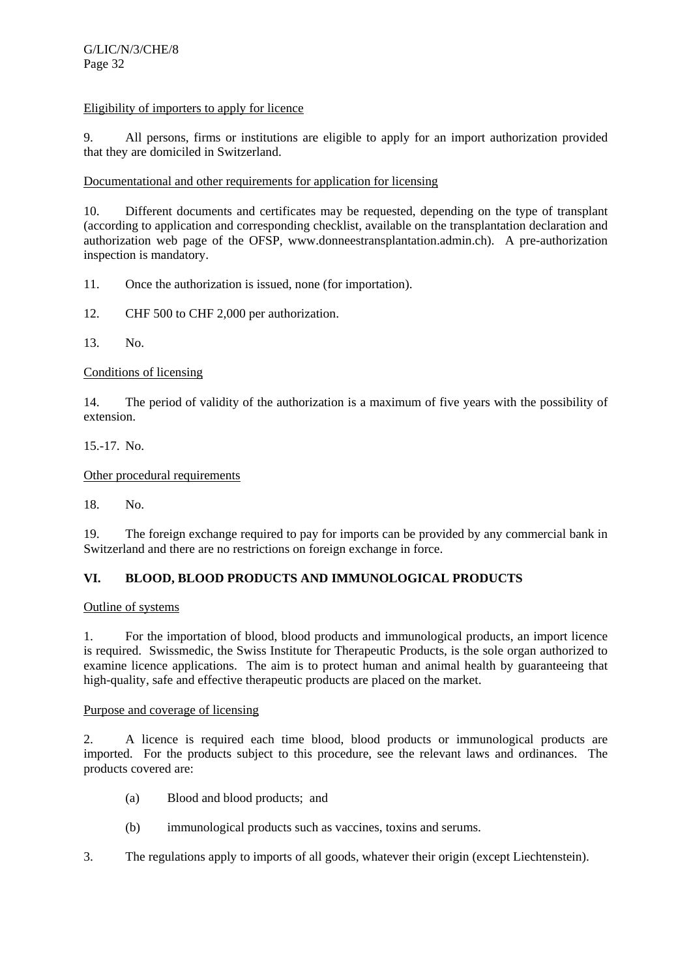# Eligibility of importers to apply for licence

9. All persons, firms or institutions are eligible to apply for an import authorization provided that they are domiciled in Switzerland.

Documentational and other requirements for application for licensing

10. Different documents and certificates may be requested, depending on the type of transplant (according to application and corresponding checklist, available on the transplantation declaration and authorization web page of the OFSP, www.donneestransplantation.admin.ch). A pre-authorization inspection is mandatory.

11. Once the authorization is issued, none (for importation).

12. CHF 500 to CHF 2,000 per authorization.

13. No.

## Conditions of licensing

14. The period of validity of the authorization is a maximum of five years with the possibility of extension.

15.-17. No.

Other procedural requirements

18. No.

19. The foreign exchange required to pay for imports can be provided by any commercial bank in Switzerland and there are no restrictions on foreign exchange in force.

# **VI. BLOOD, BLOOD PRODUCTS AND IMMUNOLOGICAL PRODUCTS**

Outline of systems

1. For the importation of blood, blood products and immunological products, an import licence is required. Swissmedic, the Swiss Institute for Therapeutic Products, is the sole organ authorized to examine licence applications. The aim is to protect human and animal health by guaranteeing that high-quality, safe and effective therapeutic products are placed on the market.

## Purpose and coverage of licensing

2. A licence is required each time blood, blood products or immunological products are imported. For the products subject to this procedure, see the relevant laws and ordinances. The products covered are:

- (a) Blood and blood products; and
- (b) immunological products such as vaccines, toxins and serums.
- 3. The regulations apply to imports of all goods, whatever their origin (except Liechtenstein).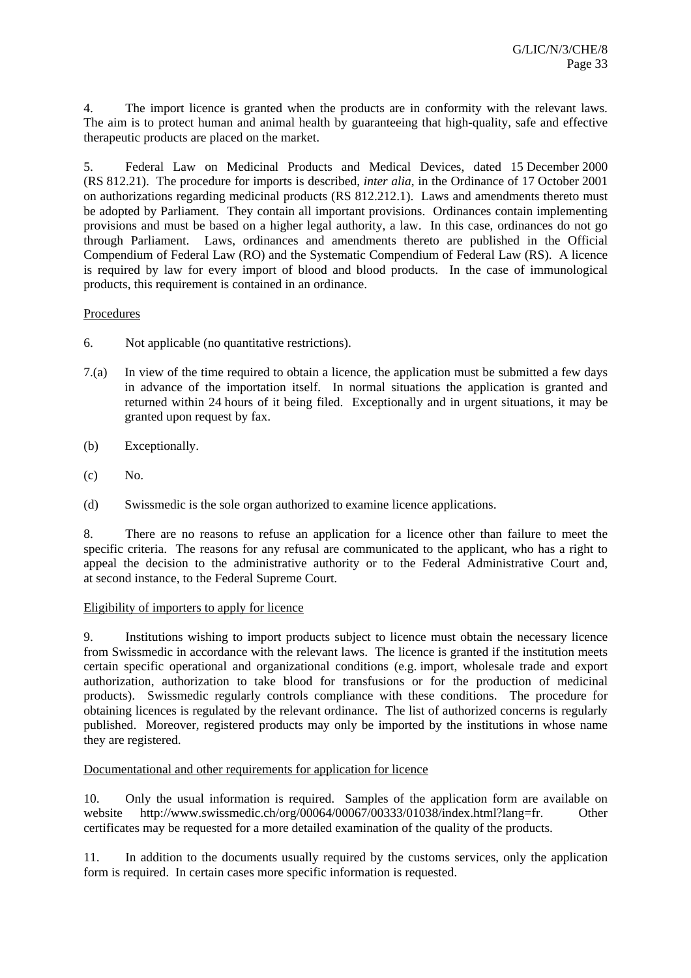4. The import licence is granted when the products are in conformity with the relevant laws. The aim is to protect human and animal health by guaranteeing that high-quality, safe and effective therapeutic products are placed on the market.

5. Federal Law on Medicinal Products and Medical Devices, dated 15 December 2000 (RS 812.21). The procedure for imports is described, *inter alia*, in the Ordinance of 17 October 2001 on authorizations regarding medicinal products (RS 812.212.1). Laws and amendments thereto must be adopted by Parliament. They contain all important provisions. Ordinances contain implementing provisions and must be based on a higher legal authority, a law. In this case, ordinances do not go through Parliament. Laws, ordinances and amendments thereto are published in the Official Compendium of Federal Law (RO) and the Systematic Compendium of Federal Law (RS). A licence is required by law for every import of blood and blood products. In the case of immunological products, this requirement is contained in an ordinance.

# **Procedures**

- 6. Not applicable (no quantitative restrictions).
- 7.(a) In view of the time required to obtain a licence, the application must be submitted a few days in advance of the importation itself. In normal situations the application is granted and returned within 24 hours of it being filed. Exceptionally and in urgent situations, it may be granted upon request by fax.
- (b) Exceptionally.
- $(c)$  No.
- (d) Swissmedic is the sole organ authorized to examine licence applications.

8. There are no reasons to refuse an application for a licence other than failure to meet the specific criteria. The reasons for any refusal are communicated to the applicant, who has a right to appeal the decision to the administrative authority or to the Federal Administrative Court and, at second instance, to the Federal Supreme Court.

## Eligibility of importers to apply for licence

9. Institutions wishing to import products subject to licence must obtain the necessary licence from Swissmedic in accordance with the relevant laws. The licence is granted if the institution meets certain specific operational and organizational conditions (e.g. import, wholesale trade and export authorization, authorization to take blood for transfusions or for the production of medicinal products). Swissmedic regularly controls compliance with these conditions. The procedure for obtaining licences is regulated by the relevant ordinance. The list of authorized concerns is regularly published. Moreover, registered products may only be imported by the institutions in whose name they are registered.

## Documentational and other requirements for application for licence

10. Only the usual information is required. Samples of the application form are available on website http://www.swissmedic.ch/org/00064/00067/00333/01038/index.html?lang=fr. Other certificates may be requested for a more detailed examination of the quality of the products.

11. In addition to the documents usually required by the customs services, only the application form is required. In certain cases more specific information is requested.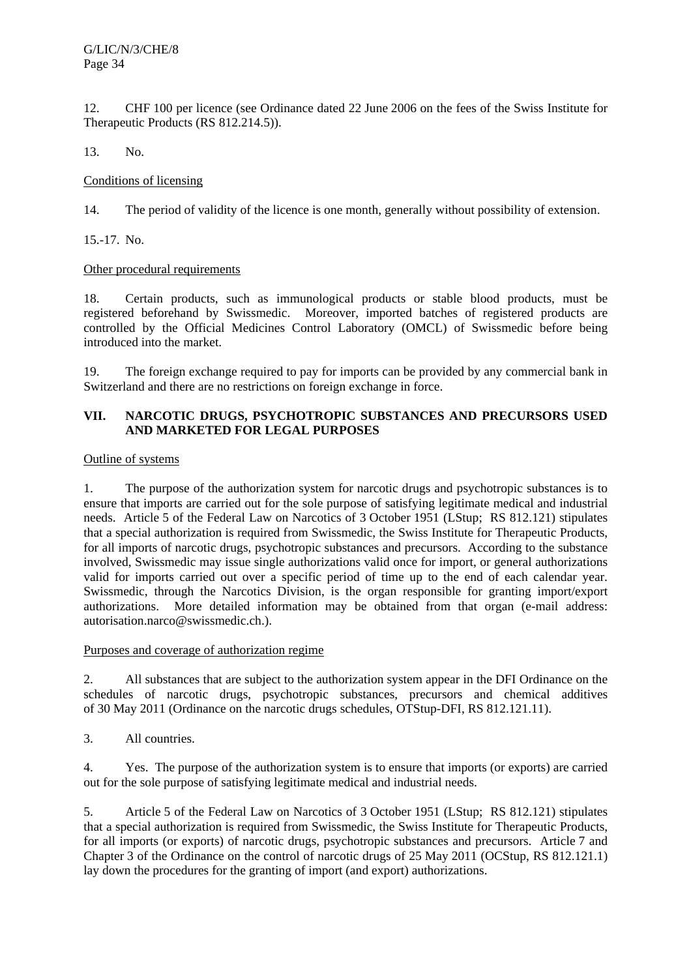12. CHF 100 per licence (see Ordinance dated 22 June 2006 on the fees of the Swiss Institute for Therapeutic Products (RS 812.214.5)).

13. No.

## Conditions of licensing

14. The period of validity of the licence is one month, generally without possibility of extension.

15.-17. No.

# Other procedural requirements

18. Certain products, such as immunological products or stable blood products, must be registered beforehand by Swissmedic. Moreover, imported batches of registered products are controlled by the Official Medicines Control Laboratory (OMCL) of Swissmedic before being introduced into the market.

19. The foreign exchange required to pay for imports can be provided by any commercial bank in Switzerland and there are no restrictions on foreign exchange in force.

# **VII. NARCOTIC DRUGS, PSYCHOTROPIC SUBSTANCES AND PRECURSORS USED AND MARKETED FOR LEGAL PURPOSES**

## Outline of systems

1. The purpose of the authorization system for narcotic drugs and psychotropic substances is to ensure that imports are carried out for the sole purpose of satisfying legitimate medical and industrial needs. Article 5 of the Federal Law on Narcotics of 3 October 1951 (LStup; RS 812.121) stipulates that a special authorization is required from Swissmedic, the Swiss Institute for Therapeutic Products, for all imports of narcotic drugs, psychotropic substances and precursors. According to the substance involved, Swissmedic may issue single authorizations valid once for import, or general authorizations valid for imports carried out over a specific period of time up to the end of each calendar year. Swissmedic, through the Narcotics Division, is the organ responsible for granting import/export authorizations. More detailed information may be obtained from that organ (e-mail address: autorisation.narco@swissmedic.ch.).

## Purposes and coverage of authorization regime

2. All substances that are subject to the authorization system appear in the DFI Ordinance on the schedules of narcotic drugs, psychotropic substances, precursors and chemical additives of 30 May 2011 (Ordinance on the narcotic drugs schedules, OTStup-DFI, RS 812.121.11).

3. All countries.

4. Yes. The purpose of the authorization system is to ensure that imports (or exports) are carried out for the sole purpose of satisfying legitimate medical and industrial needs.

5. Article 5 of the Federal Law on Narcotics of 3 October 1951 (LStup; RS 812.121) stipulates that a special authorization is required from Swissmedic, the Swiss Institute for Therapeutic Products, for all imports (or exports) of narcotic drugs, psychotropic substances and precursors. Article 7 and Chapter 3 of the Ordinance on the control of narcotic drugs of 25 May 2011 (OCStup, RS 812.121.1) lay down the procedures for the granting of import (and export) authorizations.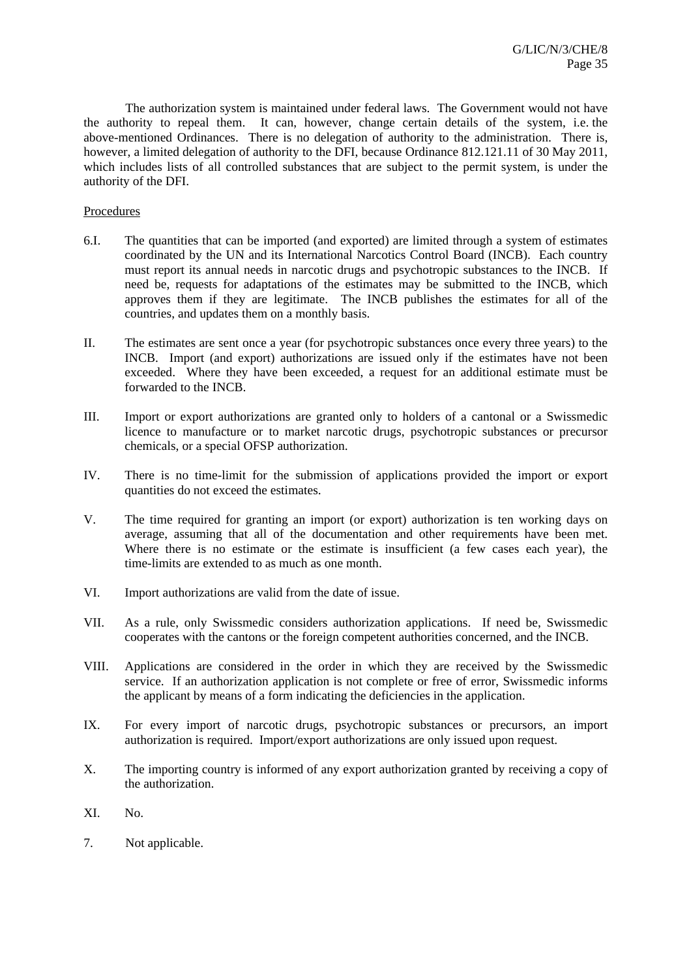The authorization system is maintained under federal laws. The Government would not have the authority to repeal them. It can, however, change certain details of the system, i.e. the above-mentioned Ordinances. There is no delegation of authority to the administration. There is, however, a limited delegation of authority to the DFI, because Ordinance 812.121.11 of 30 May 2011, which includes lists of all controlled substances that are subject to the permit system, is under the authority of the DFI.

# Procedures

- 6.I. The quantities that can be imported (and exported) are limited through a system of estimates coordinated by the UN and its International Narcotics Control Board (INCB). Each country must report its annual needs in narcotic drugs and psychotropic substances to the INCB. If need be, requests for adaptations of the estimates may be submitted to the INCB, which approves them if they are legitimate. The INCB publishes the estimates for all of the countries, and updates them on a monthly basis.
- II. The estimates are sent once a year (for psychotropic substances once every three years) to the INCB. Import (and export) authorizations are issued only if the estimates have not been exceeded. Where they have been exceeded, a request for an additional estimate must be forwarded to the INCB.
- III. Import or export authorizations are granted only to holders of a cantonal or a Swissmedic licence to manufacture or to market narcotic drugs, psychotropic substances or precursor chemicals, or a special OFSP authorization.
- IV. There is no time-limit for the submission of applications provided the import or export quantities do not exceed the estimates.
- V. The time required for granting an import (or export) authorization is ten working days on average, assuming that all of the documentation and other requirements have been met. Where there is no estimate or the estimate is insufficient (a few cases each year), the time-limits are extended to as much as one month.
- VI. Import authorizations are valid from the date of issue.
- VII. As a rule, only Swissmedic considers authorization applications. If need be, Swissmedic cooperates with the cantons or the foreign competent authorities concerned, and the INCB.
- VIII. Applications are considered in the order in which they are received by the Swissmedic service. If an authorization application is not complete or free of error, Swissmedic informs the applicant by means of a form indicating the deficiencies in the application.
- IX. For every import of narcotic drugs, psychotropic substances or precursors, an import authorization is required. Import/export authorizations are only issued upon request.
- X. The importing country is informed of any export authorization granted by receiving a copy of the authorization.
- XI. No.
- 7. Not applicable.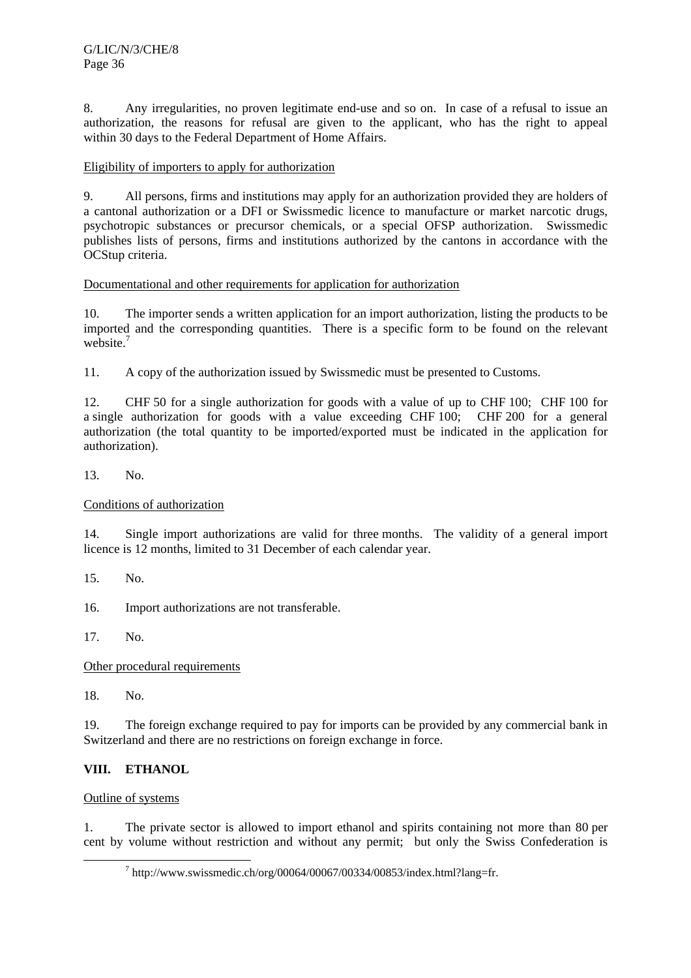8. Any irregularities, no proven legitimate end-use and so on. In case of a refusal to issue an authorization, the reasons for refusal are given to the applicant, who has the right to appeal within 30 days to the Federal Department of Home Affairs.

# Eligibility of importers to apply for authorization

9. All persons, firms and institutions may apply for an authorization provided they are holders of a cantonal authorization or a DFI or Swissmedic licence to manufacture or market narcotic drugs, psychotropic substances or precursor chemicals, or a special OFSP authorization. Swissmedic publishes lists of persons, firms and institutions authorized by the cantons in accordance with the OCStup criteria.

# Documentational and other requirements for application for authorization

10. The importer sends a written application for an import authorization, listing the products to be imported and the corresponding quantities. There is a specific form to be found on the relevant website.<sup>7</sup>

11. A copy of the authorization issued by Swissmedic must be presented to Customs.

12. CHF 50 for a single authorization for goods with a value of up to CHF 100; CHF 100 for a single authorization for goods with a value exceeding CHF 100; CHF 200 for a general authorization (the total quantity to be imported/exported must be indicated in the application for authorization).

13. No.

Conditions of authorization

14. Single import authorizations are valid for three months. The validity of a general import licence is 12 months, limited to 31 December of each calendar year.

15. No.

16. Import authorizations are not transferable.

17. No.

Other procedural requirements

18. No.

19. The foreign exchange required to pay for imports can be provided by any commercial bank in Switzerland and there are no restrictions on foreign exchange in force.

# **VIII. ETHANOL**

Outline of systems

1. The private sector is allowed to import ethanol and spirits containing not more than 80 per cent by volume without restriction and without any permit; but only the Swiss Confederation is

 $\overline{\phantom{a}}$  $h$ tttp://www.swissmedic.ch/org/00064/00067/00334/00853/index.html?lang=fr.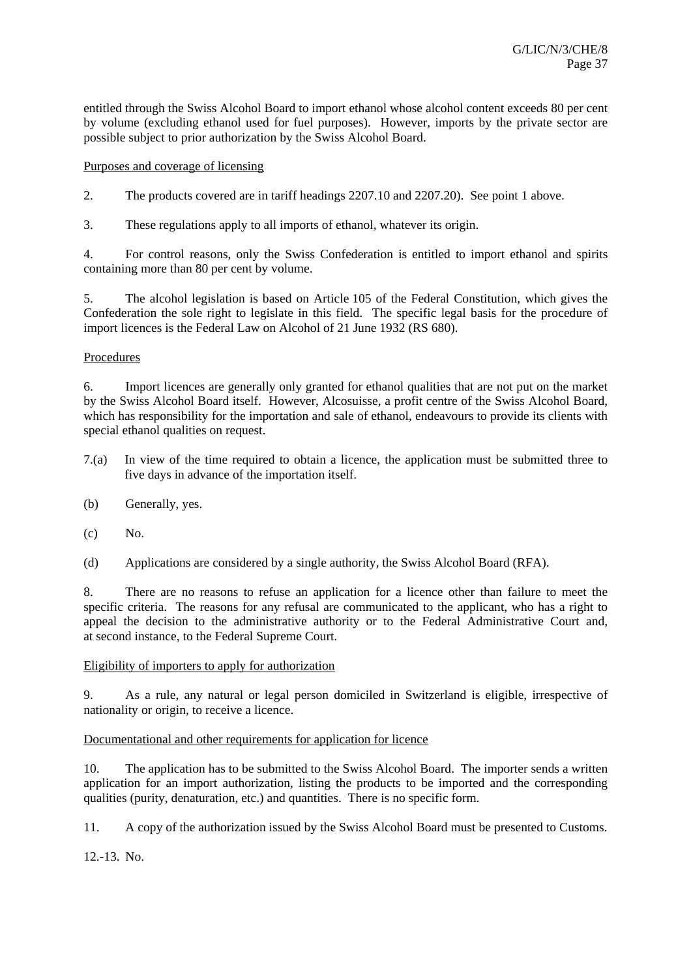entitled through the Swiss Alcohol Board to import ethanol whose alcohol content exceeds 80 per cent by volume (excluding ethanol used for fuel purposes). However, imports by the private sector are possible subject to prior authorization by the Swiss Alcohol Board.

Purposes and coverage of licensing

2. The products covered are in tariff headings 2207.10 and 2207.20). See point 1 above.

3. These regulations apply to all imports of ethanol, whatever its origin.

4. For control reasons, only the Swiss Confederation is entitled to import ethanol and spirits containing more than 80 per cent by volume.

5. The alcohol legislation is based on Article 105 of the Federal Constitution, which gives the Confederation the sole right to legislate in this field. The specific legal basis for the procedure of import licences is the Federal Law on Alcohol of 21 June 1932 (RS 680).

# Procedures

6. Import licences are generally only granted for ethanol qualities that are not put on the market by the Swiss Alcohol Board itself. However, Alcosuisse, a profit centre of the Swiss Alcohol Board, which has responsibility for the importation and sale of ethanol, endeavours to provide its clients with special ethanol qualities on request.

- 7.(a) In view of the time required to obtain a licence, the application must be submitted three to five days in advance of the importation itself.
- (b) Generally, yes.
- $(c)$  No.
- (d) Applications are considered by a single authority, the Swiss Alcohol Board (RFA).

8. There are no reasons to refuse an application for a licence other than failure to meet the specific criteria. The reasons for any refusal are communicated to the applicant, who has a right to appeal the decision to the administrative authority or to the Federal Administrative Court and, at second instance, to the Federal Supreme Court.

## Eligibility of importers to apply for authorization

9. As a rule, any natural or legal person domiciled in Switzerland is eligible, irrespective of nationality or origin, to receive a licence.

## Documentational and other requirements for application for licence

10. The application has to be submitted to the Swiss Alcohol Board. The importer sends a written application for an import authorization, listing the products to be imported and the corresponding qualities (purity, denaturation, etc.) and quantities. There is no specific form.

11. A copy of the authorization issued by the Swiss Alcohol Board must be presented to Customs.

12.-13. No.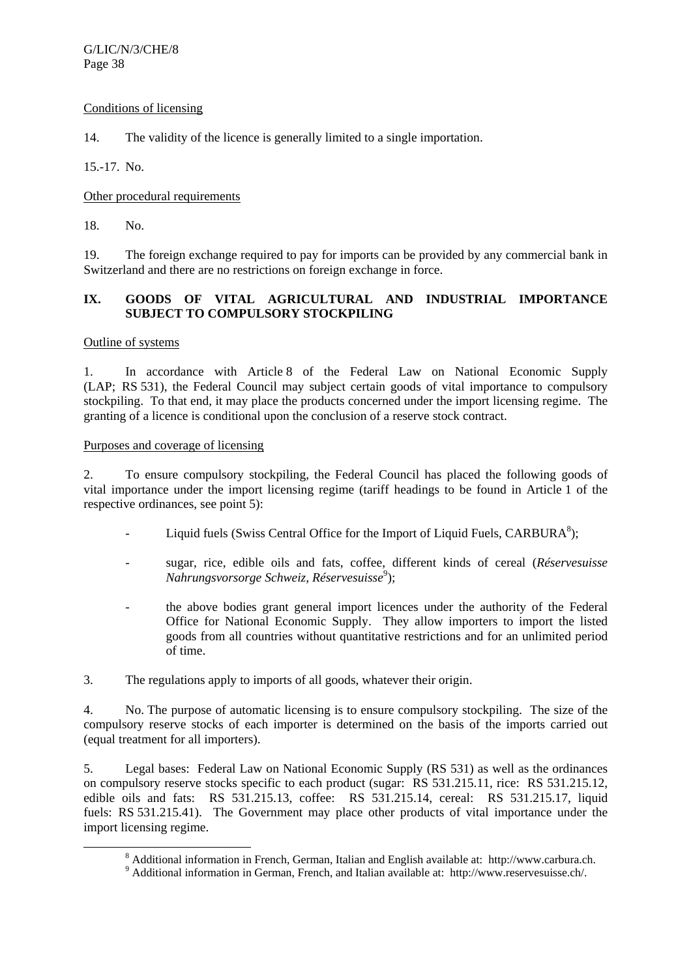## Conditions of licensing

14. The validity of the licence is generally limited to a single importation.

15.-17. No.

Other procedural requirements

18. No.

19. The foreign exchange required to pay for imports can be provided by any commercial bank in Switzerland and there are no restrictions on foreign exchange in force.

# **IX. GOODS OF VITAL AGRICULTURAL AND INDUSTRIAL IMPORTANCE SUBJECT TO COMPULSORY STOCKPILING**

## Outline of systems

1. In accordance with Article 8 of the Federal Law on National Economic Supply (LAP; RS 531), the Federal Council may subject certain goods of vital importance to compulsory stockpiling. To that end, it may place the products concerned under the import licensing regime. The granting of a licence is conditional upon the conclusion of a reserve stock contract.

# Purposes and coverage of licensing

2. To ensure compulsory stockpiling, the Federal Council has placed the following goods of vital importance under the import licensing regime (tariff headings to be found in Article 1 of the respective ordinances, see point 5):

- Liquid fuels (Swiss Central Office for the Import of Liquid Fuels,  $CARBURA<sup>8</sup>$ );
	- sugar, rice, edible oils and fats, coffee, different kinds of cereal (*Réservesuisse Nahrungsvorsorge Schweiz, Réservesuisse*<sup>9</sup> );
	- the above bodies grant general import licences under the authority of the Federal Office for National Economic Supply. They allow importers to import the listed goods from all countries without quantitative restrictions and for an unlimited period of time.

3. The regulations apply to imports of all goods, whatever their origin.

4. No. The purpose of automatic licensing is to ensure compulsory stockpiling. The size of the compulsory reserve stocks of each importer is determined on the basis of the imports carried out (equal treatment for all importers).

5. Legal bases: Federal Law on National Economic Supply (RS 531) as well as the ordinances on compulsory reserve stocks specific to each product (sugar: RS 531.215.11, rice: RS 531.215.12, edible oils and fats: RS 531.215.13, coffee: RS 531.215.14, cereal: RS 531.215.17, liquid fuels: RS 531.215.41). The Government may place other products of vital importance under the import licensing regime.

 <sup>8</sup> Additional information in French, German, Italian and English available at: http://www.carbura.ch. 9

<sup>&</sup>lt;sup>9</sup> Additional information in German, French, and Italian available at: http://www.reservesuisse.ch/.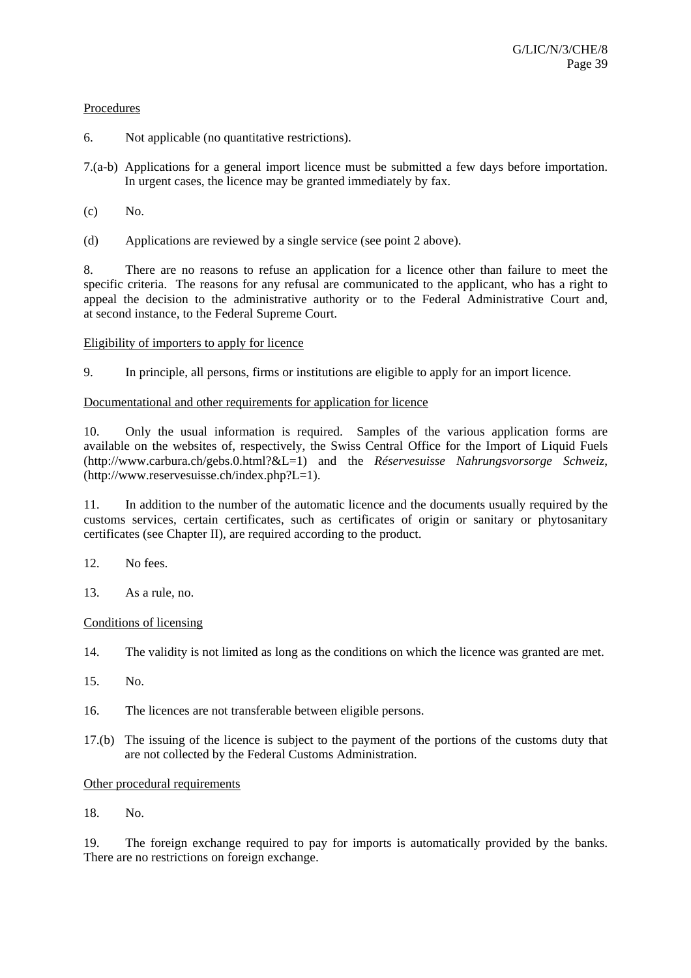## **Procedures**

- 6. Not applicable (no quantitative restrictions).
- 7.(a-b) Applications for a general import licence must be submitted a few days before importation. In urgent cases, the licence may be granted immediately by fax.
- $(c)$  No.
- (d) Applications are reviewed by a single service (see point 2 above).

8. There are no reasons to refuse an application for a licence other than failure to meet the specific criteria. The reasons for any refusal are communicated to the applicant, who has a right to appeal the decision to the administrative authority or to the Federal Administrative Court and, at second instance, to the Federal Supreme Court.

# Eligibility of importers to apply for licence

9. In principle, all persons, firms or institutions are eligible to apply for an import licence.

## Documentational and other requirements for application for licence

10. Only the usual information is required. Samples of the various application forms are available on the websites of, respectively, the Swiss Central Office for the Import of Liquid Fuels (http://www.carbura.ch/gebs.0.html?&L=1) and the *Réservesuisse Nahrungsvorsorge Schweiz*, (http://www.reservesuisse.ch/index.php?L=1).

11. In addition to the number of the automatic licence and the documents usually required by the customs services, certain certificates, such as certificates of origin or sanitary or phytosanitary certificates (see Chapter II), are required according to the product.

- 12. No fees.
- 13. As a rule, no.

## Conditions of licensing

- 14. The validity is not limited as long as the conditions on which the licence was granted are met.
- 15. No.
- 16. The licences are not transferable between eligible persons.
- 17.(b) The issuing of the licence is subject to the payment of the portions of the customs duty that are not collected by the Federal Customs Administration.

## Other procedural requirements

18. No.

19. The foreign exchange required to pay for imports is automatically provided by the banks. There are no restrictions on foreign exchange.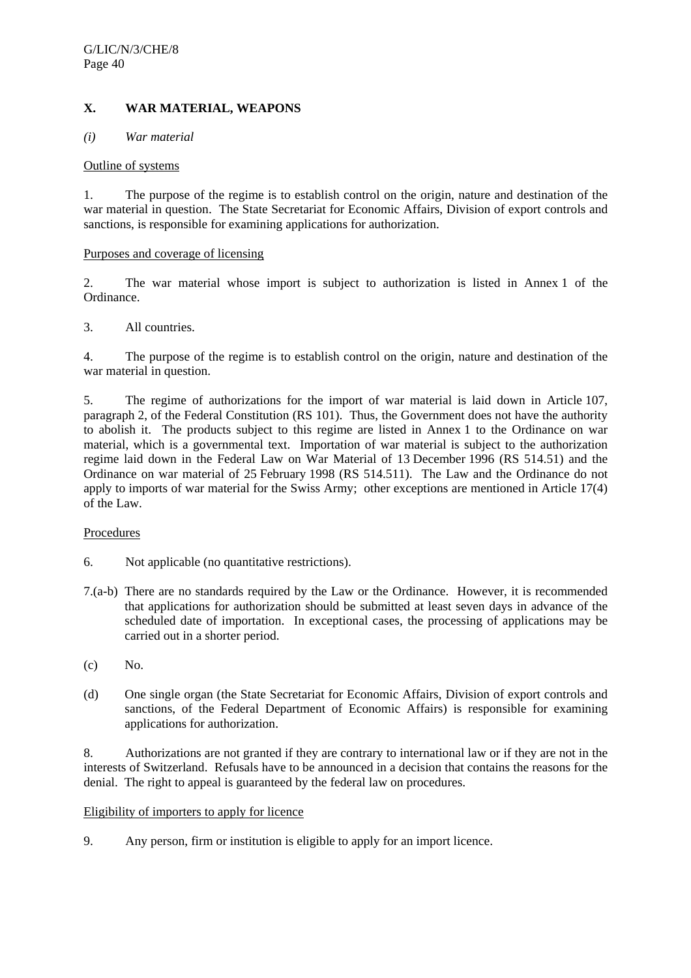# **X. WAR MATERIAL, WEAPONS**

#### *(i) War material*

#### Outline of systems

1. The purpose of the regime is to establish control on the origin, nature and destination of the war material in question. The State Secretariat for Economic Affairs, Division of export controls and sanctions, is responsible for examining applications for authorization.

#### Purposes and coverage of licensing

2. The war material whose import is subject to authorization is listed in Annex 1 of the Ordinance.

## 3. All countries.

4. The purpose of the regime is to establish control on the origin, nature and destination of the war material in question.

5. The regime of authorizations for the import of war material is laid down in Article 107, paragraph 2, of the Federal Constitution (RS 101). Thus, the Government does not have the authority to abolish it. The products subject to this regime are listed in Annex 1 to the Ordinance on war material, which is a governmental text. Importation of war material is subject to the authorization regime laid down in the Federal Law on War Material of 13 December 1996 (RS 514.51) and the Ordinance on war material of 25 February 1998 (RS 514.511). The Law and the Ordinance do not apply to imports of war material for the Swiss Army; other exceptions are mentioned in Article 17(4) of the Law.

## Procedures

- 6. Not applicable (no quantitative restrictions).
- 7.(a-b) There are no standards required by the Law or the Ordinance. However, it is recommended that applications for authorization should be submitted at least seven days in advance of the scheduled date of importation. In exceptional cases, the processing of applications may be carried out in a shorter period.
- (c) No.
- (d) One single organ (the State Secretariat for Economic Affairs, Division of export controls and sanctions, of the Federal Department of Economic Affairs) is responsible for examining applications for authorization.

8. Authorizations are not granted if they are contrary to international law or if they are not in the interests of Switzerland. Refusals have to be announced in a decision that contains the reasons for the denial. The right to appeal is guaranteed by the federal law on procedures.

#### Eligibility of importers to apply for licence

9. Any person, firm or institution is eligible to apply for an import licence.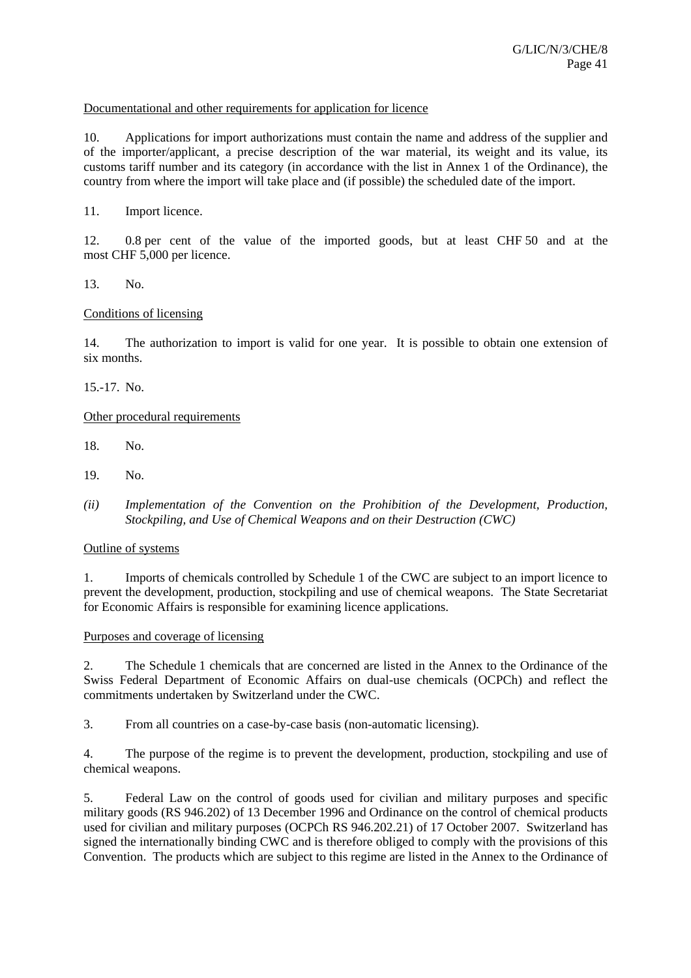## Documentational and other requirements for application for licence

10. Applications for import authorizations must contain the name and address of the supplier and of the importer/applicant, a precise description of the war material, its weight and its value, its customs tariff number and its category (in accordance with the list in Annex 1 of the Ordinance), the country from where the import will take place and (if possible) the scheduled date of the import.

11. Import licence.

12. 0.8 per cent of the value of the imported goods, but at least CHF 50 and at the most CHF 5,000 per licence.

13. No.

#### Conditions of licensing

14. The authorization to import is valid for one year. It is possible to obtain one extension of six months.

15.-17. No.

#### Other procedural requirements

- 18. No.
- 19. No.
- *(ii) Implementation of the Convention on the Prohibition of the Development, Production, Stockpiling, and Use of Chemical Weapons and on their Destruction (CWC)*

#### Outline of systems

1. Imports of chemicals controlled by Schedule 1 of the CWC are subject to an import licence to prevent the development, production, stockpiling and use of chemical weapons. The State Secretariat for Economic Affairs is responsible for examining licence applications.

#### Purposes and coverage of licensing

2. The Schedule 1 chemicals that are concerned are listed in the Annex to the Ordinance of the Swiss Federal Department of Economic Affairs on dual-use chemicals (OCPCh) and reflect the commitments undertaken by Switzerland under the CWC.

3. From all countries on a case-by-case basis (non-automatic licensing).

4. The purpose of the regime is to prevent the development, production, stockpiling and use of chemical weapons.

5. Federal Law on the control of goods used for civilian and military purposes and specific military goods (RS 946.202) of 13 December 1996 and Ordinance on the control of chemical products used for civilian and military purposes (OCPCh RS 946.202.21) of 17 October 2007. Switzerland has signed the internationally binding CWC and is therefore obliged to comply with the provisions of this Convention. The products which are subject to this regime are listed in the Annex to the Ordinance of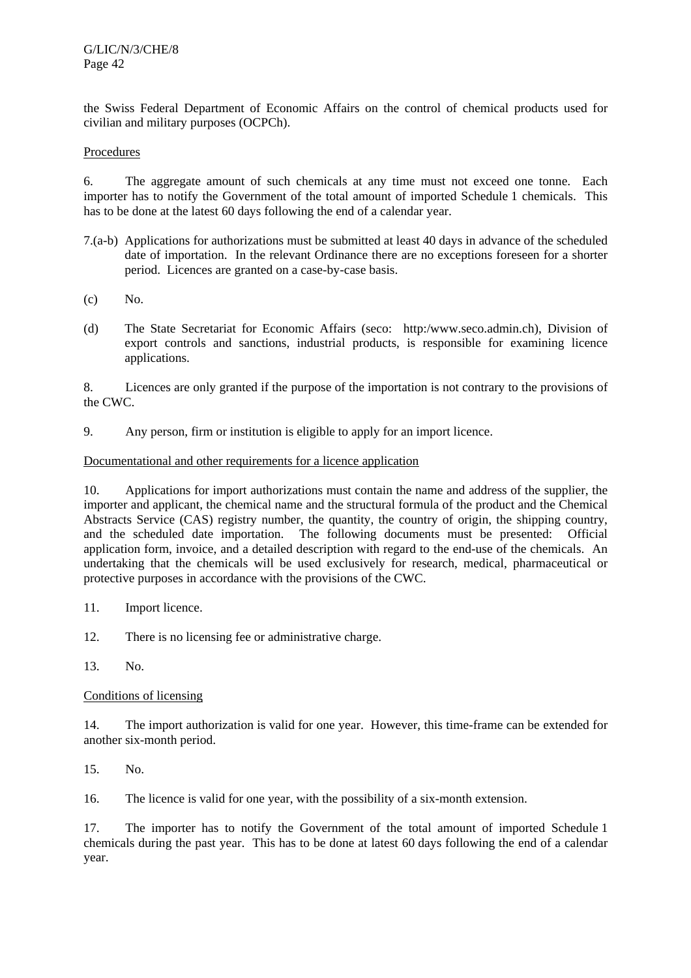the Swiss Federal Department of Economic Affairs on the control of chemical products used for civilian and military purposes (OCPCh).

# Procedures

6. The aggregate amount of such chemicals at any time must not exceed one tonne. Each importer has to notify the Government of the total amount of imported Schedule 1 chemicals. This has to be done at the latest 60 days following the end of a calendar year.

- 7.(a-b) Applications for authorizations must be submitted at least 40 days in advance of the scheduled date of importation. In the relevant Ordinance there are no exceptions foreseen for a shorter period. Licences are granted on a case-by-case basis.
- (c) No.
- (d) The State Secretariat for Economic Affairs (seco: http:/www.seco.admin.ch), Division of export controls and sanctions, industrial products, is responsible for examining licence applications.

8. Licences are only granted if the purpose of the importation is not contrary to the provisions of the CWC.

9. Any person, firm or institution is eligible to apply for an import licence.

## Documentational and other requirements for a licence application

10. Applications for import authorizations must contain the name and address of the supplier, the importer and applicant, the chemical name and the structural formula of the product and the Chemical Abstracts Service (CAS) registry number, the quantity, the country of origin, the shipping country, and the scheduled date importation. The following documents must be presented: Official application form, invoice, and a detailed description with regard to the end-use of the chemicals. An undertaking that the chemicals will be used exclusively for research, medical, pharmaceutical or protective purposes in accordance with the provisions of the CWC.

- 11. Import licence.
- 12. There is no licensing fee or administrative charge.
- 13. No.

## Conditions of licensing

14. The import authorization is valid for one year. However, this time-frame can be extended for another six-month period.

15. No.

16. The licence is valid for one year, with the possibility of a six-month extension.

17. The importer has to notify the Government of the total amount of imported Schedule 1 chemicals during the past year. This has to be done at latest 60 days following the end of a calendar year.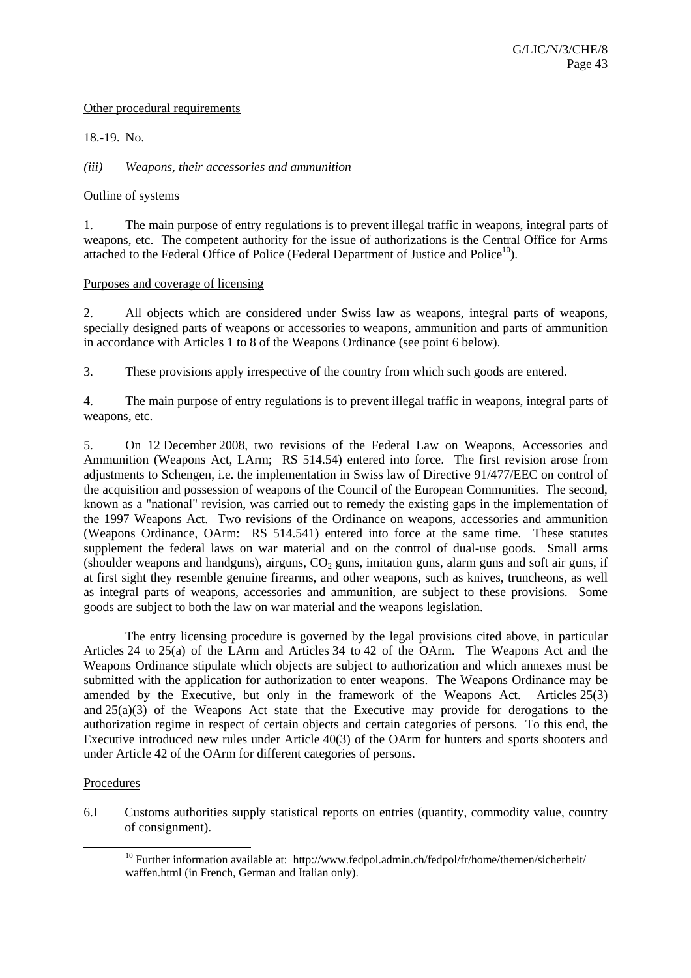## Other procedural requirements

18.-19. No.

*(iii) Weapons, their accessories and ammunition* 

#### Outline of systems

1. The main purpose of entry regulations is to prevent illegal traffic in weapons, integral parts of weapons, etc. The competent authority for the issue of authorizations is the Central Office for Arms attached to the Federal Office of Police (Federal Department of Justice and Police $10$ ).

#### Purposes and coverage of licensing

2. All objects which are considered under Swiss law as weapons, integral parts of weapons, specially designed parts of weapons or accessories to weapons, ammunition and parts of ammunition in accordance with Articles 1 to 8 of the Weapons Ordinance (see point 6 below).

3. These provisions apply irrespective of the country from which such goods are entered.

4. The main purpose of entry regulations is to prevent illegal traffic in weapons, integral parts of weapons, etc.

5. On 12 December 2008, two revisions of the Federal Law on Weapons, Accessories and Ammunition (Weapons Act, LArm; RS 514.54) entered into force. The first revision arose from adjustments to Schengen, i.e. the implementation in Swiss law of Directive 91/477/EEC on control of the acquisition and possession of weapons of the Council of the European Communities. The second, known as a "national" revision, was carried out to remedy the existing gaps in the implementation of the 1997 Weapons Act. Two revisions of the Ordinance on weapons, accessories and ammunition (Weapons Ordinance, OArm: RS 514.541) entered into force at the same time. These statutes supplement the federal laws on war material and on the control of dual-use goods. Small arms (shoulder weapons and handguns), airguns,  $CO<sub>2</sub>$  guns, imitation guns, alarm guns and soft air guns, if at first sight they resemble genuine firearms, and other weapons, such as knives, truncheons, as well as integral parts of weapons, accessories and ammunition, are subject to these provisions. Some goods are subject to both the law on war material and the weapons legislation.

 The entry licensing procedure is governed by the legal provisions cited above, in particular Articles 24 to 25(a) of the LArm and Articles 34 to 42 of the OArm. The Weapons Act and the Weapons Ordinance stipulate which objects are subject to authorization and which annexes must be submitted with the application for authorization to enter weapons. The Weapons Ordinance may be amended by the Executive, but only in the framework of the Weapons Act. Articles 25(3) and  $25(a)(3)$  of the Weapons Act state that the Executive may provide for derogations to the authorization regime in respect of certain objects and certain categories of persons. To this end, the Executive introduced new rules under Article 40(3) of the OArm for hunters and sports shooters and under Article 42 of the OArm for different categories of persons.

## Procedures

6.I Customs authorities supply statistical reports on entries (quantity, commodity value, country of consignment).

<sup>&</sup>lt;sup>10</sup> Further information available at: http://www.fedpol.admin.ch/fedpol/fr/home/themen/sicherheit/ waffen.html (in French, German and Italian only).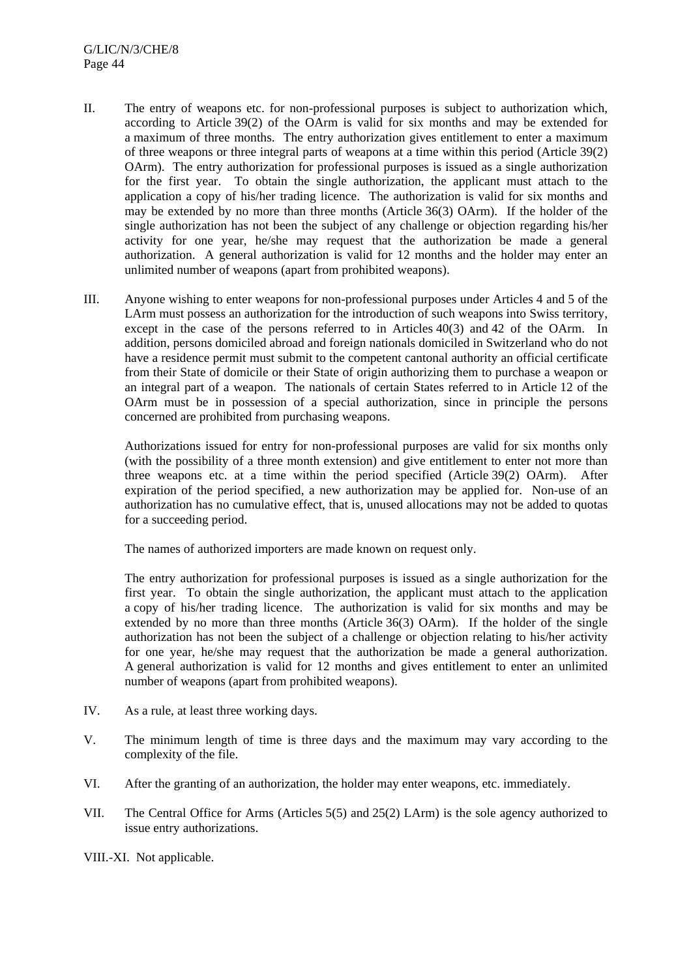- II. The entry of weapons etc. for non-professional purposes is subject to authorization which, according to Article 39(2) of the OArm is valid for six months and may be extended for a maximum of three months. The entry authorization gives entitlement to enter a maximum of three weapons or three integral parts of weapons at a time within this period (Article 39(2) OArm). The entry authorization for professional purposes is issued as a single authorization for the first year. To obtain the single authorization, the applicant must attach to the application a copy of his/her trading licence. The authorization is valid for six months and may be extended by no more than three months (Article 36(3) OArm). If the holder of the single authorization has not been the subject of any challenge or objection regarding his/her activity for one year, he/she may request that the authorization be made a general authorization. A general authorization is valid for 12 months and the holder may enter an unlimited number of weapons (apart from prohibited weapons).
- III. Anyone wishing to enter weapons for non-professional purposes under Articles 4 and 5 of the LArm must possess an authorization for the introduction of such weapons into Swiss territory, except in the case of the persons referred to in Articles 40(3) and 42 of the OArm. In addition, persons domiciled abroad and foreign nationals domiciled in Switzerland who do not have a residence permit must submit to the competent cantonal authority an official certificate from their State of domicile or their State of origin authorizing them to purchase a weapon or an integral part of a weapon. The nationals of certain States referred to in Article 12 of the OArm must be in possession of a special authorization, since in principle the persons concerned are prohibited from purchasing weapons.

 Authorizations issued for entry for non-professional purposes are valid for six months only (with the possibility of a three month extension) and give entitlement to enter not more than three weapons etc. at a time within the period specified (Article 39(2) OArm). After expiration of the period specified, a new authorization may be applied for. Non-use of an authorization has no cumulative effect, that is, unused allocations may not be added to quotas for a succeeding period.

The names of authorized importers are made known on request only.

 The entry authorization for professional purposes is issued as a single authorization for the first year. To obtain the single authorization, the applicant must attach to the application a copy of his/her trading licence. The authorization is valid for six months and may be extended by no more than three months (Article 36(3) OArm). If the holder of the single authorization has not been the subject of a challenge or objection relating to his/her activity for one year, he/she may request that the authorization be made a general authorization. A general authorization is valid for 12 months and gives entitlement to enter an unlimited number of weapons (apart from prohibited weapons).

- IV. As a rule, at least three working days.
- V. The minimum length of time is three days and the maximum may vary according to the complexity of the file.
- VI. After the granting of an authorization, the holder may enter weapons, etc. immediately.
- VII. The Central Office for Arms (Articles 5(5) and 25(2) LArm) is the sole agency authorized to issue entry authorizations.

VIII.-XI. Not applicable.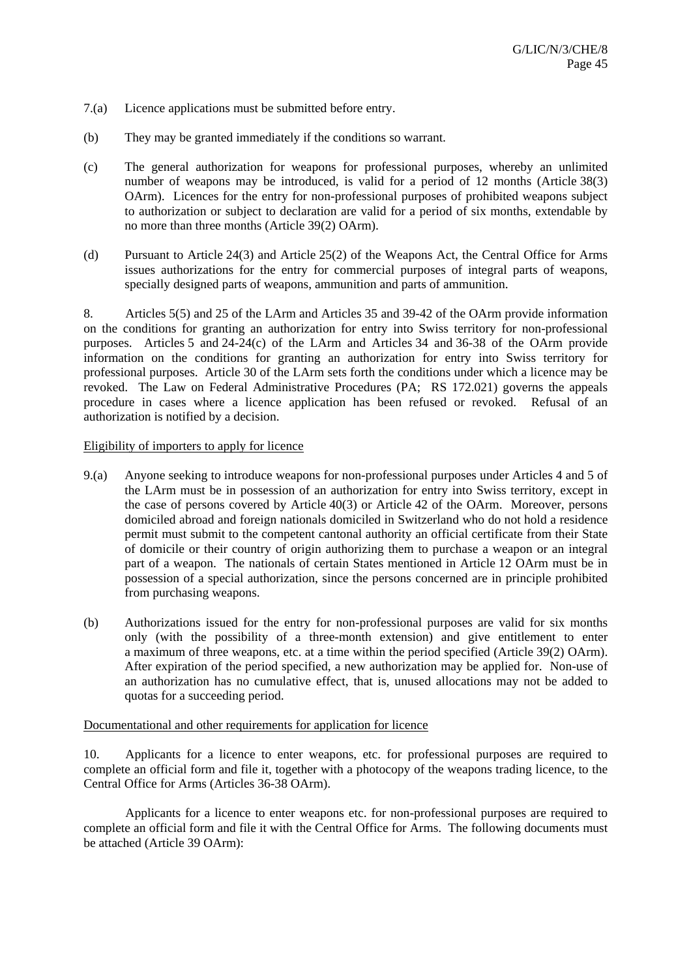- 7.(a) Licence applications must be submitted before entry.
- (b) They may be granted immediately if the conditions so warrant.
- (c) The general authorization for weapons for professional purposes, whereby an unlimited number of weapons may be introduced, is valid for a period of 12 months (Article 38(3) OArm). Licences for the entry for non-professional purposes of prohibited weapons subject to authorization or subject to declaration are valid for a period of six months, extendable by no more than three months (Article 39(2) OArm).
- (d) Pursuant to Article 24(3) and Article 25(2) of the Weapons Act, the Central Office for Arms issues authorizations for the entry for commercial purposes of integral parts of weapons, specially designed parts of weapons, ammunition and parts of ammunition.

8. Articles 5(5) and 25 of the LArm and Articles 35 and 39-42 of the OArm provide information on the conditions for granting an authorization for entry into Swiss territory for non-professional purposes. Articles 5 and 24-24(c) of the LArm and Articles 34 and 36-38 of the OArm provide information on the conditions for granting an authorization for entry into Swiss territory for professional purposes. Article 30 of the LArm sets forth the conditions under which a licence may be revoked. The Law on Federal Administrative Procedures (PA; RS 172.021) governs the appeals procedure in cases where a licence application has been refused or revoked. Refusal of an authorization is notified by a decision.

## Eligibility of importers to apply for licence

- 9.(a) Anyone seeking to introduce weapons for non-professional purposes under Articles 4 and 5 of the LArm must be in possession of an authorization for entry into Swiss territory, except in the case of persons covered by Article 40(3) or Article 42 of the OArm. Moreover, persons domiciled abroad and foreign nationals domiciled in Switzerland who do not hold a residence permit must submit to the competent cantonal authority an official certificate from their State of domicile or their country of origin authorizing them to purchase a weapon or an integral part of a weapon. The nationals of certain States mentioned in Article 12 OArm must be in possession of a special authorization, since the persons concerned are in principle prohibited from purchasing weapons.
- (b) Authorizations issued for the entry for non-professional purposes are valid for six months only (with the possibility of a three-month extension) and give entitlement to enter a maximum of three weapons, etc. at a time within the period specified (Article 39(2) OArm). After expiration of the period specified, a new authorization may be applied for. Non-use of an authorization has no cumulative effect, that is, unused allocations may not be added to quotas for a succeeding period.

## Documentational and other requirements for application for licence

10. Applicants for a licence to enter weapons, etc. for professional purposes are required to complete an official form and file it, together with a photocopy of the weapons trading licence, to the Central Office for Arms (Articles 36-38 OArm).

 Applicants for a licence to enter weapons etc. for non-professional purposes are required to complete an official form and file it with the Central Office for Arms. The following documents must be attached (Article 39 OArm):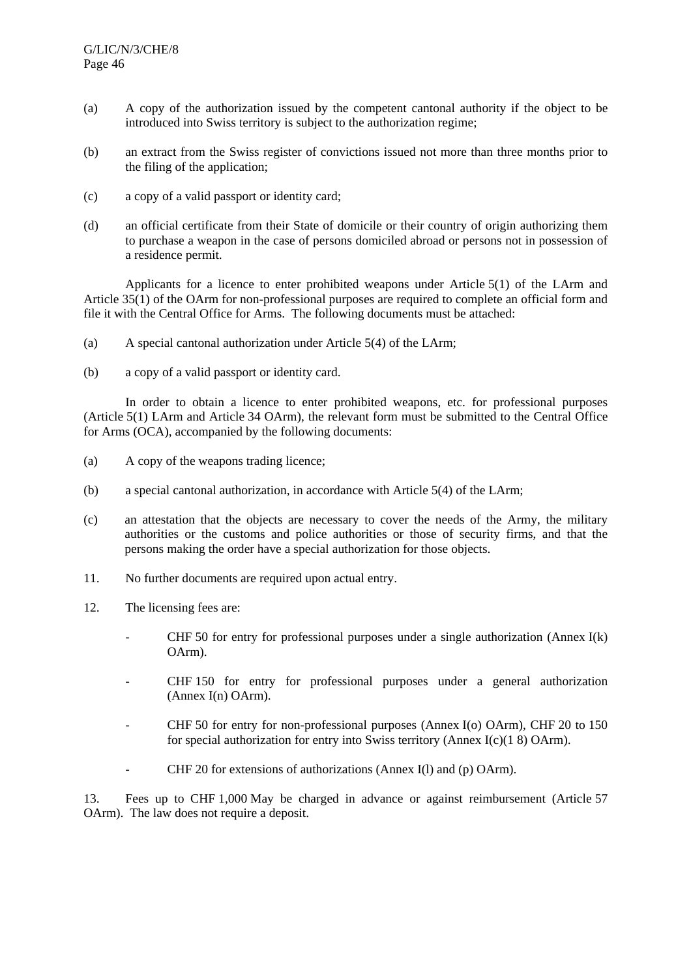- (a) A copy of the authorization issued by the competent cantonal authority if the object to be introduced into Swiss territory is subject to the authorization regime;
- (b) an extract from the Swiss register of convictions issued not more than three months prior to the filing of the application;
- (c) a copy of a valid passport or identity card;
- (d) an official certificate from their State of domicile or their country of origin authorizing them to purchase a weapon in the case of persons domiciled abroad or persons not in possession of a residence permit.

 Applicants for a licence to enter prohibited weapons under Article 5(1) of the LArm and Article 35(1) of the OArm for non-professional purposes are required to complete an official form and file it with the Central Office for Arms. The following documents must be attached:

- (a) A special cantonal authorization under Article 5(4) of the LArm;
- (b) a copy of a valid passport or identity card.

 In order to obtain a licence to enter prohibited weapons, etc. for professional purposes (Article 5(1) LArm and Article 34 OArm), the relevant form must be submitted to the Central Office for Arms (OCA), accompanied by the following documents:

- (a) A copy of the weapons trading licence;
- (b) a special cantonal authorization, in accordance with Article 5(4) of the LArm;
- (c) an attestation that the objects are necessary to cover the needs of the Army, the military authorities or the customs and police authorities or those of security firms, and that the persons making the order have a special authorization for those objects.
- 11. No further documents are required upon actual entry.
- 12. The licensing fees are:
	- CHF 50 for entry for professional purposes under a single authorization (Annex  $I(k)$ ) OArm).
	- CHF 150 for entry for professional purposes under a general authorization (Annex I(n) OArm).
	- CHF 50 for entry for non-professional purposes (Annex I(o) OArm), CHF 20 to 150 for special authorization for entry into Swiss territory (Annex I(c)(1 8) OArm).
	- CHF 20 for extensions of authorizations (Annex I(1) and (p) OArm).

13. Fees up to CHF 1,000 May be charged in advance or against reimbursement (Article 57 OArm). The law does not require a deposit.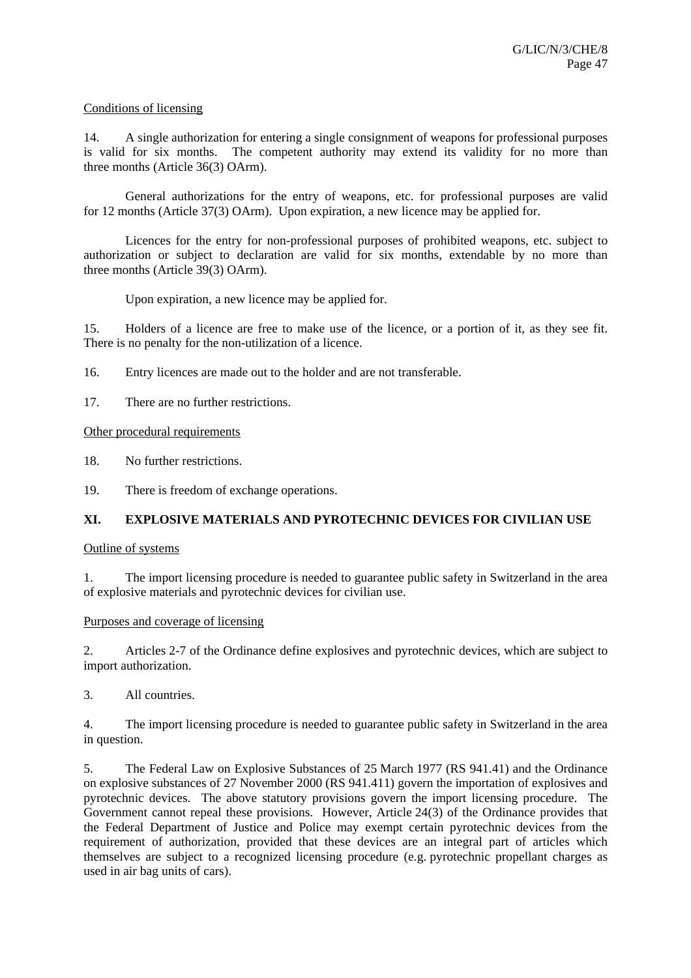## Conditions of licensing

14. A single authorization for entering a single consignment of weapons for professional purposes is valid for six months. The competent authority may extend its validity for no more than three months (Article 36(3) OArm).

 General authorizations for the entry of weapons, etc. for professional purposes are valid for 12 months (Article 37(3) OArm). Upon expiration, a new licence may be applied for.

 Licences for the entry for non-professional purposes of prohibited weapons, etc. subject to authorization or subject to declaration are valid for six months, extendable by no more than three months (Article 39(3) OArm).

Upon expiration, a new licence may be applied for.

15. Holders of a licence are free to make use of the licence, or a portion of it, as they see fit. There is no penalty for the non-utilization of a licence.

16. Entry licences are made out to the holder and are not transferable.

17. There are no further restrictions.

Other procedural requirements

18. No further restrictions.

19. There is freedom of exchange operations.

# **XI. EXPLOSIVE MATERIALS AND PYROTECHNIC DEVICES FOR CIVILIAN USE**

## Outline of systems

1. The import licensing procedure is needed to guarantee public safety in Switzerland in the area of explosive materials and pyrotechnic devices for civilian use.

## Purposes and coverage of licensing

2. Articles 2-7 of the Ordinance define explosives and pyrotechnic devices, which are subject to import authorization.

3. All countries.

4. The import licensing procedure is needed to guarantee public safety in Switzerland in the area in question.

5. The Federal Law on Explosive Substances of 25 March 1977 (RS 941.41) and the Ordinance on explosive substances of 27 November 2000 (RS 941.411) govern the importation of explosives and pyrotechnic devices. The above statutory provisions govern the import licensing procedure. The Government cannot repeal these provisions. However, Article 24(3) of the Ordinance provides that the Federal Department of Justice and Police may exempt certain pyrotechnic devices from the requirement of authorization, provided that these devices are an integral part of articles which themselves are subject to a recognized licensing procedure (e.g. pyrotechnic propellant charges as used in air bag units of cars).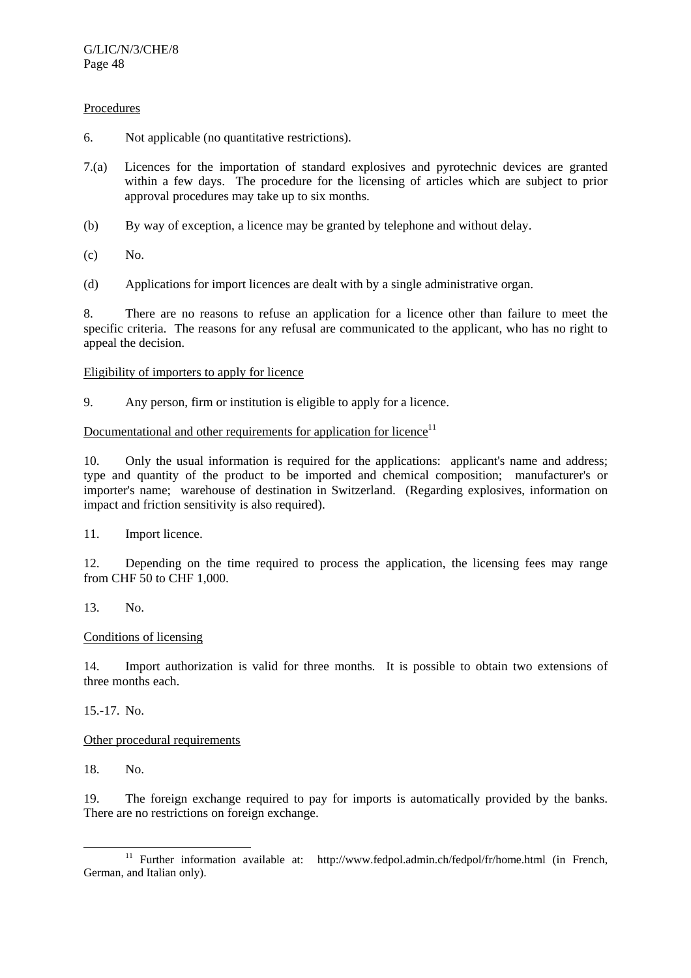## **Procedures**

- 6. Not applicable (no quantitative restrictions).
- 7.(a) Licences for the importation of standard explosives and pyrotechnic devices are granted within a few days. The procedure for the licensing of articles which are subject to prior approval procedures may take up to six months.
- (b) By way of exception, a licence may be granted by telephone and without delay.
- (c) No.
- (d) Applications for import licences are dealt with by a single administrative organ.

8. There are no reasons to refuse an application for a licence other than failure to meet the specific criteria. The reasons for any refusal are communicated to the applicant, who has no right to appeal the decision.

## Eligibility of importers to apply for licence

9. Any person, firm or institution is eligible to apply for a licence.

# Documentational and other requirements for application for licence $11$

10. Only the usual information is required for the applications: applicant's name and address; type and quantity of the product to be imported and chemical composition; manufacturer's or importer's name; warehouse of destination in Switzerland. (Regarding explosives, information on impact and friction sensitivity is also required).

11. Import licence.

12. Depending on the time required to process the application, the licensing fees may range from CHF 50 to CHF 1,000.

## 13. No.

## Conditions of licensing

14. Import authorization is valid for three months. It is possible to obtain two extensions of three months each.

15.-17. No.

## Other procedural requirements

18. No.

19. The foreign exchange required to pay for imports is automatically provided by the banks. There are no restrictions on foreign exchange.

<sup>&</sup>lt;sup>11</sup> Further information available at: http://www.fedpol.admin.ch/fedpol/fr/home.html (in French, German, and Italian only).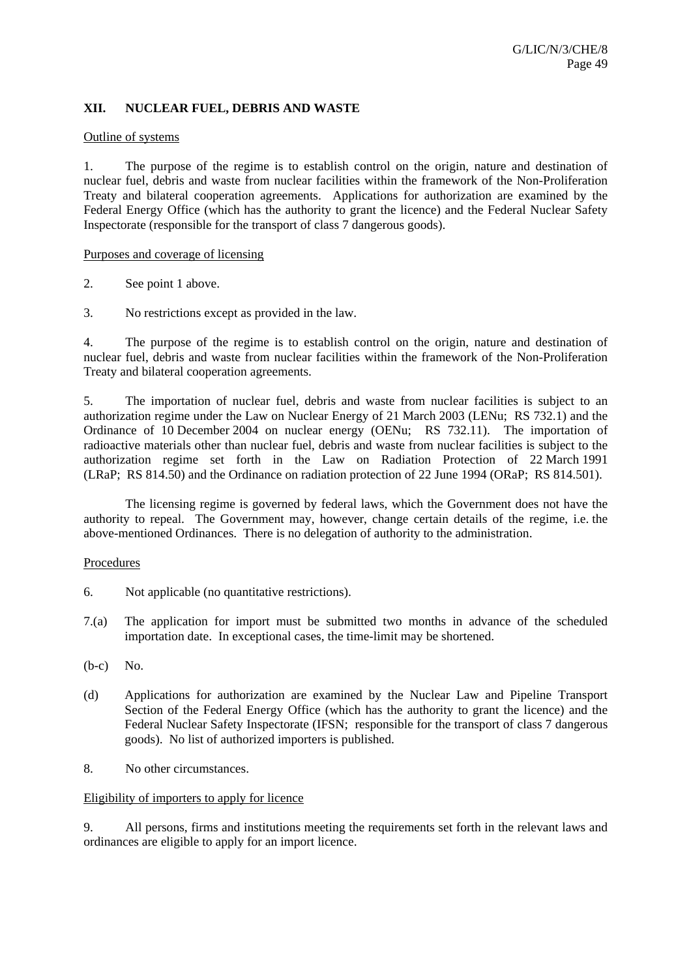# **XII. NUCLEAR FUEL, DEBRIS AND WASTE**

#### Outline of systems

1. The purpose of the regime is to establish control on the origin, nature and destination of nuclear fuel, debris and waste from nuclear facilities within the framework of the Non-Proliferation Treaty and bilateral cooperation agreements. Applications for authorization are examined by the Federal Energy Office (which has the authority to grant the licence) and the Federal Nuclear Safety Inspectorate (responsible for the transport of class 7 dangerous goods).

#### Purposes and coverage of licensing

- 2. See point 1 above.
- 3. No restrictions except as provided in the law.

4. The purpose of the regime is to establish control on the origin, nature and destination of nuclear fuel, debris and waste from nuclear facilities within the framework of the Non-Proliferation Treaty and bilateral cooperation agreements.

5. The importation of nuclear fuel, debris and waste from nuclear facilities is subject to an authorization regime under the Law on Nuclear Energy of 21 March 2003 (LENu; RS 732.1) and the Ordinance of 10 December 2004 on nuclear energy (OENu; RS 732.11). The importation of radioactive materials other than nuclear fuel, debris and waste from nuclear facilities is subject to the authorization regime set forth in the Law on Radiation Protection of 22 March 1991 (LRaP; RS 814.50) and the Ordinance on radiation protection of 22 June 1994 (ORaP; RS 814.501).

 The licensing regime is governed by federal laws, which the Government does not have the authority to repeal. The Government may, however, change certain details of the regime, i.e. the above-mentioned Ordinances. There is no delegation of authority to the administration.

## Procedures

- 6. Not applicable (no quantitative restrictions).
- 7.(a) The application for import must be submitted two months in advance of the scheduled importation date. In exceptional cases, the time-limit may be shortened.
- (b-c) No.
- (d) Applications for authorization are examined by the Nuclear Law and Pipeline Transport Section of the Federal Energy Office (which has the authority to grant the licence) and the Federal Nuclear Safety Inspectorate (IFSN; responsible for the transport of class 7 dangerous goods). No list of authorized importers is published.
- 8. No other circumstances.

## Eligibility of importers to apply for licence

9. All persons, firms and institutions meeting the requirements set forth in the relevant laws and ordinances are eligible to apply for an import licence.